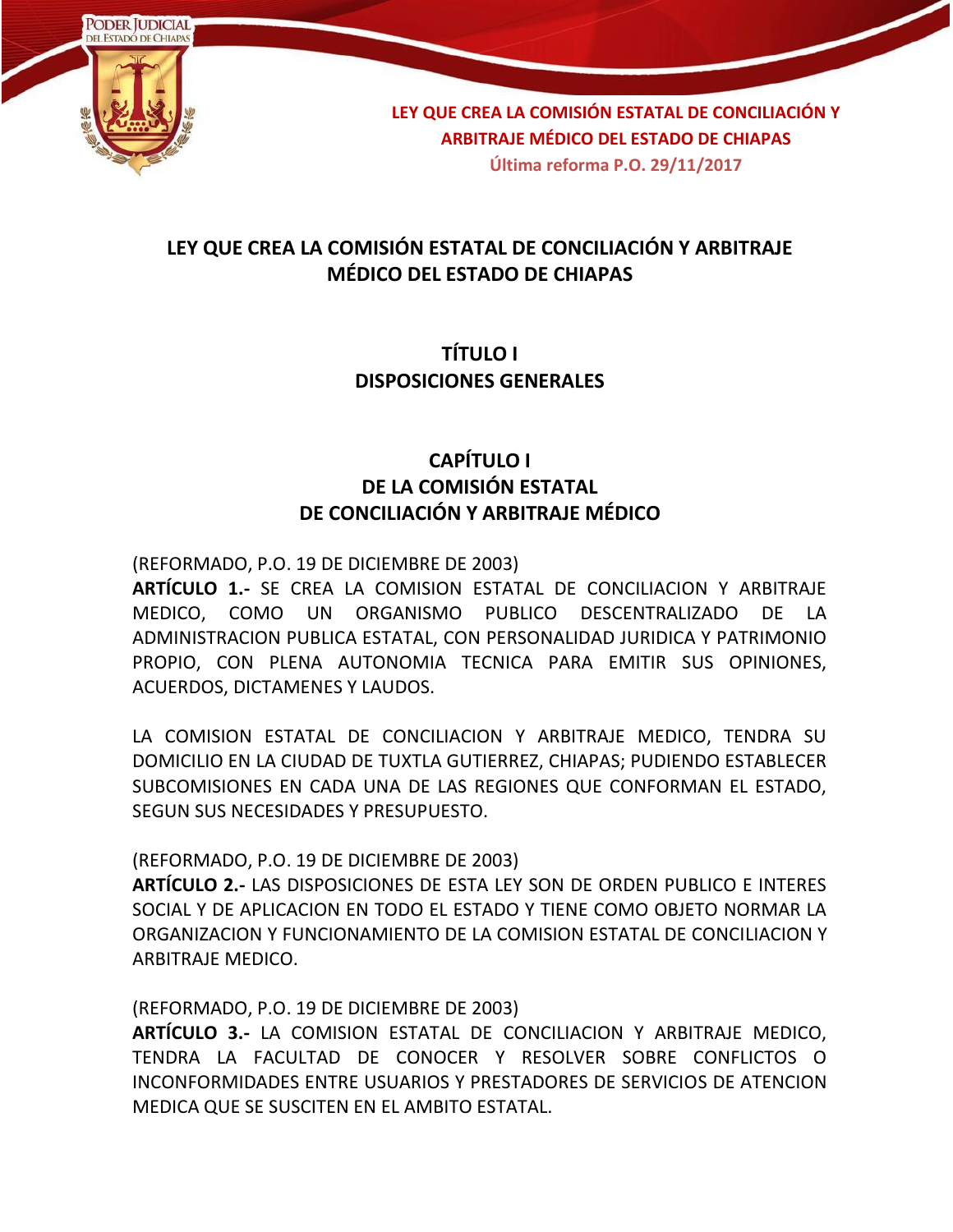

### **LEY QUE CREA LA COMISIÓN ESTATAL DE CONCILIACIÓN Y ARBITRAJE MÉDICO DEL ESTADO DE CHIAPAS**

### **TÍTULO I DISPOSICIONES GENERALES**

## **CAPÍTULO I DE LA COMISIÓN ESTATAL DE CONCILIACIÓN Y ARBITRAJE MÉDICO**

(REFORMADO, P.O. 19 DE DICIEMBRE DE 2003)

**ARTÍCULO 1.-** SE CREA LA COMISION ESTATAL DE CONCILIACION Y ARBITRAJE MEDICO, COMO UN ORGANISMO PUBLICO DESCENTRALIZADO DE LA ADMINISTRACION PUBLICA ESTATAL, CON PERSONALIDAD JURIDICA Y PATRIMONIO PROPIO, CON PLENA AUTONOMIA TECNICA PARA EMITIR SUS OPINIONES, ACUERDOS, DICTAMENES Y LAUDOS.

LA COMISION ESTATAL DE CONCILIACION Y ARBITRAJE MEDICO, TENDRA SU DOMICILIO EN LA CIUDAD DE TUXTLA GUTIERREZ, CHIAPAS; PUDIENDO ESTABLECER SUBCOMISIONES EN CADA UNA DE LAS REGIONES QUE CONFORMAN EL ESTADO, SEGUN SUS NECESIDADES Y PRESUPUESTO.

#### (REFORMADO, P.O. 19 DE DICIEMBRE DE 2003)

**ARTÍCULO 2.-** LAS DISPOSICIONES DE ESTA LEY SON DE ORDEN PUBLICO E INTERES SOCIAL Y DE APLICACION EN TODO EL ESTADO Y TIENE COMO OBJETO NORMAR LA ORGANIZACION Y FUNCIONAMIENTO DE LA COMISION ESTATAL DE CONCILIACION Y ARBITRAJE MEDICO.

(REFORMADO, P.O. 19 DE DICIEMBRE DE 2003)

**ARTÍCULO 3.-** LA COMISION ESTATAL DE CONCILIACION Y ARBITRAJE MEDICO, TENDRA LA FACULTAD DE CONOCER Y RESOLVER SOBRE CONFLICTOS O INCONFORMIDADES ENTRE USUARIOS Y PRESTADORES DE SERVICIOS DE ATENCION MEDICA QUE SE SUSCITEN EN EL AMBITO ESTATAL.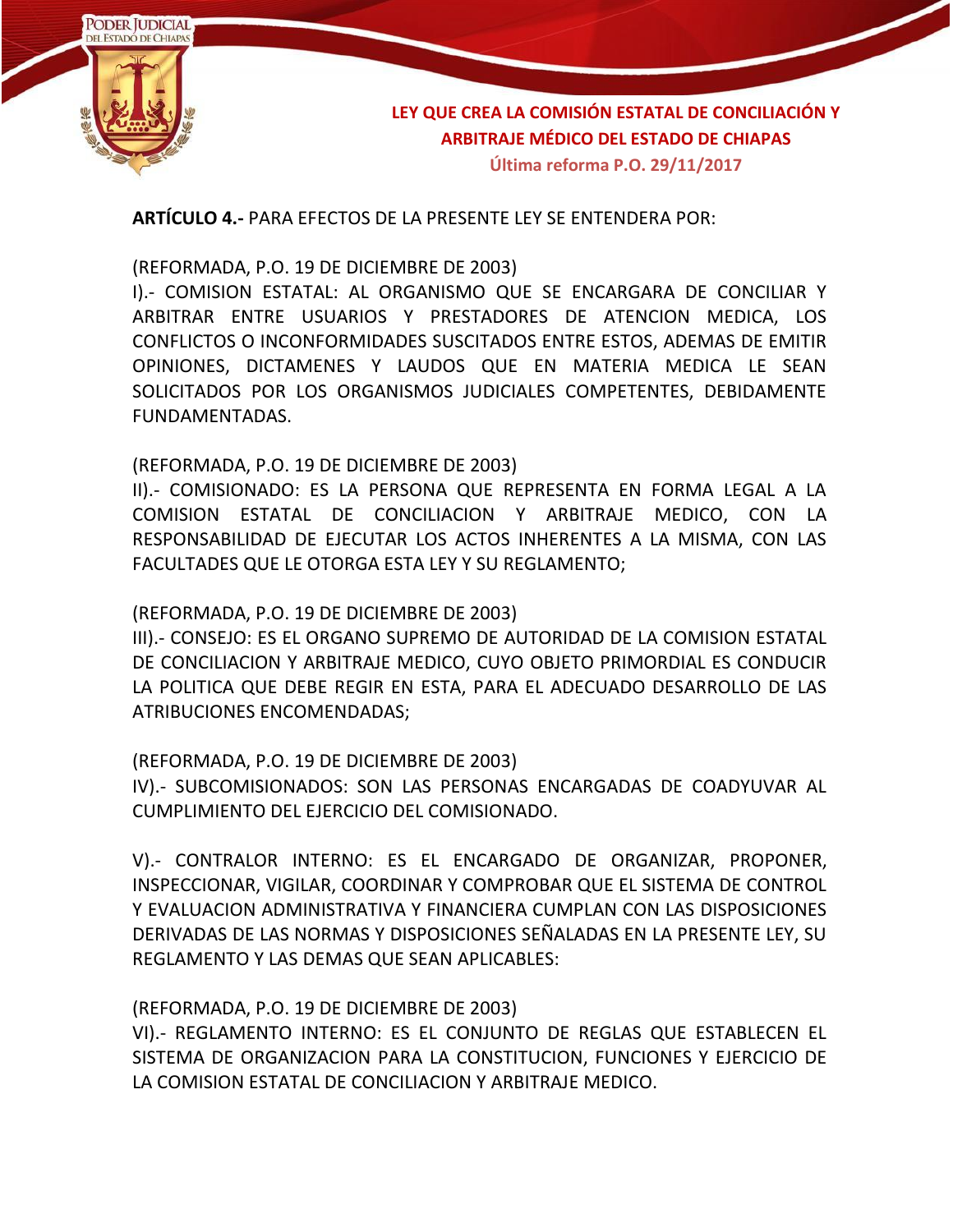

**ARTÍCULO 4.-** PARA EFECTOS DE LA PRESENTE LEY SE ENTENDERA POR:

(REFORMADA, P.O. 19 DE DICIEMBRE DE 2003)

I).- COMISION ESTATAL: AL ORGANISMO QUE SE ENCARGARA DE CONCILIAR Y ARBITRAR ENTRE USUARIOS Y PRESTADORES DE ATENCION MEDICA, LOS CONFLICTOS O INCONFORMIDADES SUSCITADOS ENTRE ESTOS, ADEMAS DE EMITIR OPINIONES, DICTAMENES Y LAUDOS QUE EN MATERIA MEDICA LE SEAN SOLICITADOS POR LOS ORGANISMOS JUDICIALES COMPETENTES, DEBIDAMENTE FUNDAMENTADAS.

(REFORMADA, P.O. 19 DE DICIEMBRE DE 2003)

II).- COMISIONADO: ES LA PERSONA QUE REPRESENTA EN FORMA LEGAL A LA COMISION ESTATAL DE CONCILIACION Y ARBITRAJE MEDICO, CON LA RESPONSABILIDAD DE EJECUTAR LOS ACTOS INHERENTES A LA MISMA, CON LAS FACULTADES QUE LE OTORGA ESTA LEY Y SU REGLAMENTO;

(REFORMADA, P.O. 19 DE DICIEMBRE DE 2003)

III).- CONSEJO: ES EL ORGANO SUPREMO DE AUTORIDAD DE LA COMISION ESTATAL DE CONCILIACION Y ARBITRAJE MEDICO, CUYO OBJETO PRIMORDIAL ES CONDUCIR LA POLITICA QUE DEBE REGIR EN ESTA, PARA EL ADECUADO DESARROLLO DE LAS ATRIBUCIONES ENCOMENDADAS;

(REFORMADA, P.O. 19 DE DICIEMBRE DE 2003)

IV).- SUBCOMISIONADOS: SON LAS PERSONAS ENCARGADAS DE COADYUVAR AL CUMPLIMIENTO DEL EJERCICIO DEL COMISIONADO.

V).- CONTRALOR INTERNO: ES EL ENCARGADO DE ORGANIZAR, PROPONER, INSPECCIONAR, VIGILAR, COORDINAR Y COMPROBAR QUE EL SISTEMA DE CONTROL Y EVALUACION ADMINISTRATIVA Y FINANCIERA CUMPLAN CON LAS DISPOSICIONES DERIVADAS DE LAS NORMAS Y DISPOSICIONES SEÑALADAS EN LA PRESENTE LEY, SU REGLAMENTO Y LAS DEMAS QUE SEAN APLICABLES:

(REFORMADA, P.O. 19 DE DICIEMBRE DE 2003)

VI).- REGLAMENTO INTERNO: ES EL CONJUNTO DE REGLAS QUE ESTABLECEN EL SISTEMA DE ORGANIZACION PARA LA CONSTITUCION, FUNCIONES Y EJERCICIO DE LA COMISION ESTATAL DE CONCILIACION Y ARBITRAJE MEDICO.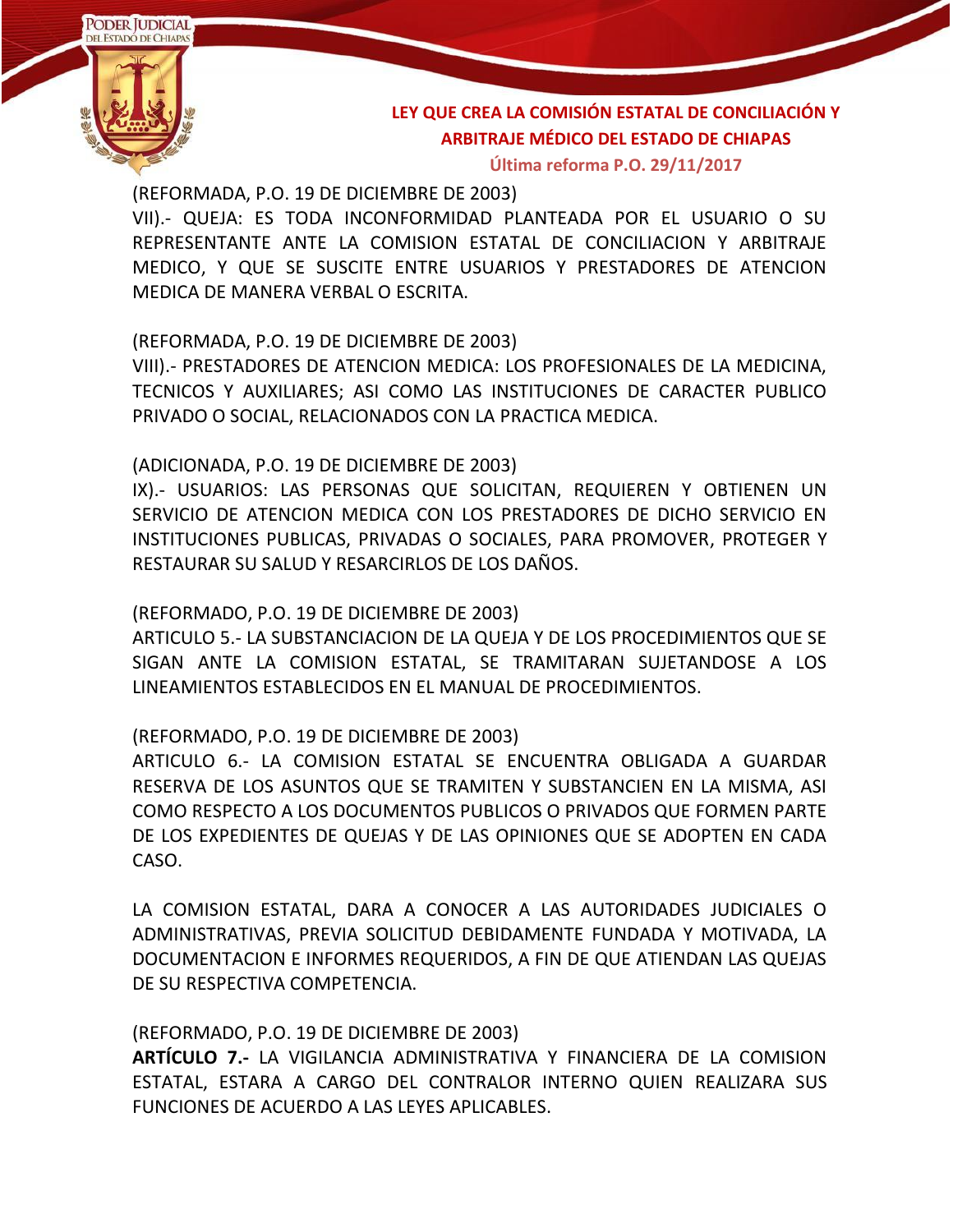

**Última reforma P.O. 29/11/2017**

(REFORMADA, P.O. 19 DE DICIEMBRE DE 2003)

VII).- QUEJA: ES TODA INCONFORMIDAD PLANTEADA POR EL USUARIO O SU REPRESENTANTE ANTE LA COMISION ESTATAL DE CONCILIACION Y ARBITRAJE MEDICO, Y QUE SE SUSCITE ENTRE USUARIOS Y PRESTADORES DE ATENCION MEDICA DE MANERA VERBAL O ESCRITA.

#### (REFORMADA, P.O. 19 DE DICIEMBRE DE 2003)

VIII).- PRESTADORES DE ATENCION MEDICA: LOS PROFESIONALES DE LA MEDICINA, TECNICOS Y AUXILIARES; ASI COMO LAS INSTITUCIONES DE CARACTER PUBLICO PRIVADO O SOCIAL, RELACIONADOS CON LA PRACTICA MEDICA.

#### (ADICIONADA, P.O. 19 DE DICIEMBRE DE 2003)

IX).- USUARIOS: LAS PERSONAS QUE SOLICITAN, REQUIEREN Y OBTIENEN UN SERVICIO DE ATENCION MEDICA CON LOS PRESTADORES DE DICHO SERVICIO EN INSTITUCIONES PUBLICAS, PRIVADAS O SOCIALES, PARA PROMOVER, PROTEGER Y RESTAURAR SU SALUD Y RESARCIRLOS DE LOS DAÑOS.

#### (REFORMADO, P.O. 19 DE DICIEMBRE DE 2003)

ARTICULO 5.- LA SUBSTANCIACION DE LA QUEJA Y DE LOS PROCEDIMIENTOS QUE SE SIGAN ANTE LA COMISION ESTATAL, SE TRAMITARAN SUJETANDOSE A LOS LINEAMIENTOS ESTABLECIDOS EN EL MANUAL DE PROCEDIMIENTOS.

#### (REFORMADO, P.O. 19 DE DICIEMBRE DE 2003)

ARTICULO 6.- LA COMISION ESTATAL SE ENCUENTRA OBLIGADA A GUARDAR RESERVA DE LOS ASUNTOS QUE SE TRAMITEN Y SUBSTANCIEN EN LA MISMA, ASI COMO RESPECTO A LOS DOCUMENTOS PUBLICOS O PRIVADOS QUE FORMEN PARTE DE LOS EXPEDIENTES DE QUEJAS Y DE LAS OPINIONES QUE SE ADOPTEN EN CADA CASO.

LA COMISION ESTATAL, DARA A CONOCER A LAS AUTORIDADES JUDICIALES O ADMINISTRATIVAS, PREVIA SOLICITUD DEBIDAMENTE FUNDADA Y MOTIVADA, LA DOCUMENTACION E INFORMES REQUERIDOS, A FIN DE QUE ATIENDAN LAS QUEJAS DE SU RESPECTIVA COMPETENCIA.

#### (REFORMADO, P.O. 19 DE DICIEMBRE DE 2003)

**ARTÍCULO 7.-** LA VIGILANCIA ADMINISTRATIVA Y FINANCIERA DE LA COMISION ESTATAL, ESTARA A CARGO DEL CONTRALOR INTERNO QUIEN REALIZARA SUS FUNCIONES DE ACUERDO A LAS LEYES APLICABLES.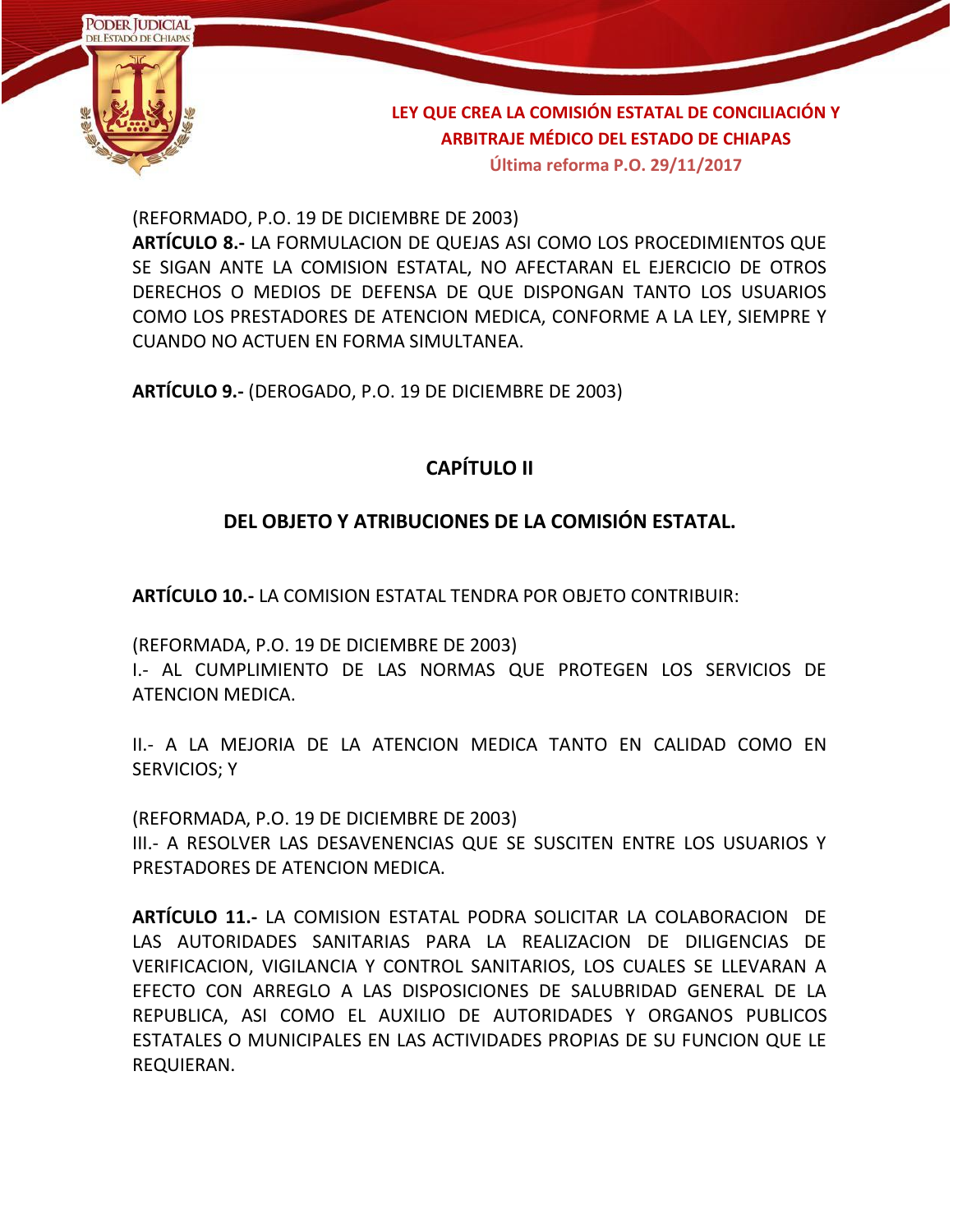

**Última reforma P.O. 29/11/2017**

(REFORMADO, P.O. 19 DE DICIEMBRE DE 2003)

**ARTÍCULO 8.-** LA FORMULACION DE QUEJAS ASI COMO LOS PROCEDIMIENTOS QUE SE SIGAN ANTE LA COMISION ESTATAL, NO AFECTARAN EL EJERCICIO DE OTROS DERECHOS O MEDIOS DE DEFENSA DE QUE DISPONGAN TANTO LOS USUARIOS COMO LOS PRESTADORES DE ATENCION MEDICA, CONFORME A LA LEY, SIEMPRE Y CUANDO NO ACTUEN EN FORMA SIMULTANEA.

**ARTÍCULO 9.-** (DEROGADO, P.O. 19 DE DICIEMBRE DE 2003)

## **CAPÍTULO II**

#### **DEL OBJETO Y ATRIBUCIONES DE LA COMISIÓN ESTATAL.**

**ARTÍCULO 10.-** LA COMISION ESTATAL TENDRA POR OBJETO CONTRIBUIR:

(REFORMADA, P.O. 19 DE DICIEMBRE DE 2003)

I.- AL CUMPLIMIENTO DE LAS NORMAS QUE PROTEGEN LOS SERVICIOS DE ATENCION MEDICA.

II.- A LA MEJORIA DE LA ATENCION MEDICA TANTO EN CALIDAD COMO EN SERVICIOS; Y

(REFORMADA, P.O. 19 DE DICIEMBRE DE 2003) III.- A RESOLVER LAS DESAVENENCIAS QUE SE SUSCITEN ENTRE LOS USUARIOS Y PRESTADORES DE ATENCION MEDICA.

**ARTÍCULO 11.-** LA COMISION ESTATAL PODRA SOLICITAR LA COLABORACION DE LAS AUTORIDADES SANITARIAS PARA LA REALIZACION DE DILIGENCIAS DE VERIFICACION, VIGILANCIA Y CONTROL SANITARIOS, LOS CUALES SE LLEVARAN A EFECTO CON ARREGLO A LAS DISPOSICIONES DE SALUBRIDAD GENERAL DE LA REPUBLICA, ASI COMO EL AUXILIO DE AUTORIDADES Y ORGANOS PUBLICOS ESTATALES O MUNICIPALES EN LAS ACTIVIDADES PROPIAS DE SU FUNCION QUE LE REQUIERAN.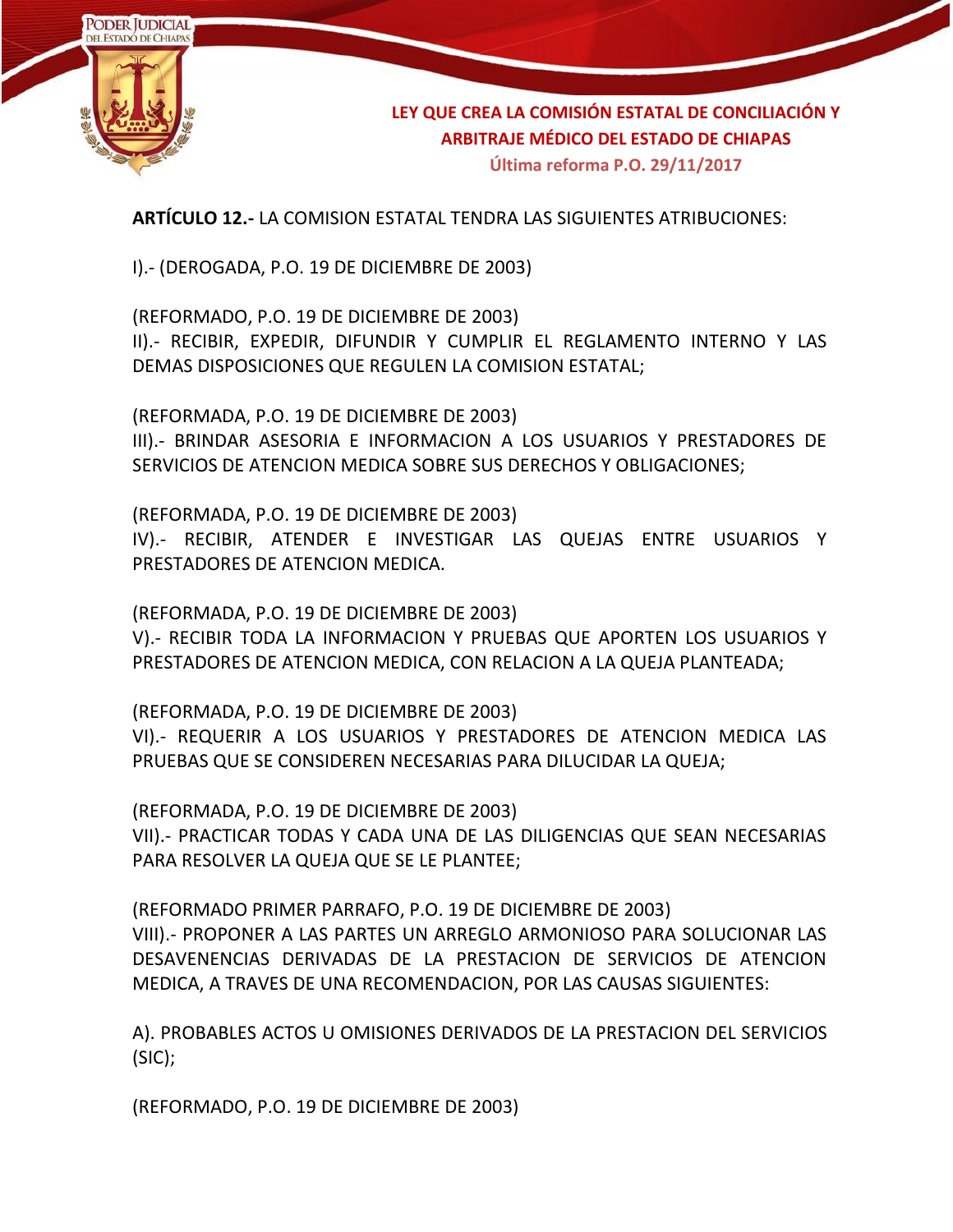

**ARTÍCULO 12.-** LA COMISION ESTATAL TENDRA LAS SIGUIENTES ATRIBUCIONES:

I).- (DEROGADA, P.O. 19 DE DICIEMBRE DE 2003)

(REFORMADO, P.O. 19 DE DICIEMBRE DE 2003) II).- RECIBIR, EXPEDIR, DIFUNDIR Y CUMPLIR EL REGLAMENTO INTERNO Y LAS DEMAS DISPOSICIONES QUE REGULEN LA COMISION ESTATAL;

(REFORMADA, P.O. 19 DE DICIEMBRE DE 2003) III).- BRINDAR ASESORIA E INFORMACION A LOS USUARIOS Y PRESTADORES DE SERVICIOS DE ATENCION MEDICA SOBRE SUS DERECHOS Y OBLIGACIONES;

(REFORMADA, P.O. 19 DE DICIEMBRE DE 2003)

IV).- RECIBIR, ATENDER E INVESTIGAR LAS QUEJAS ENTRE USUARIOS Y PRESTADORES DE ATENCION MEDICA.

(REFORMADA, P.O. 19 DE DICIEMBRE DE 2003) V).- RECIBIR TODA LA INFORMACION Y PRUEBAS QUE APORTEN LOS USUARIOS Y PRESTADORES DE ATENCION MEDICA, CON RELACION A LA QUEJA PLANTEADA;

(REFORMADA, P.O. 19 DE DICIEMBRE DE 2003) VI).- REQUERIR A LOS USUARIOS Y PRESTADORES DE ATENCION MEDICA LAS PRUEBAS QUE SE CONSIDEREN NECESARIAS PARA DILUCIDAR LA QUEJA;

(REFORMADA, P.O. 19 DE DICIEMBRE DE 2003) VII).- PRACTICAR TODAS Y CADA UNA DE LAS DILIGENCIAS QUE SEAN NECESARIAS PARA RESOLVER LA QUEJA QUE SE LE PLANTEE;

(REFORMADO PRIMER PARRAFO, P.O. 19 DE DICIEMBRE DE 2003) VIII).- PROPONER A LAS PARTES UN ARREGLO ARMONIOSO PARA SOLUCIONAR LAS DESAVENENCIAS DERIVADAS DE LA PRESTACION DE SERVICIOS DE ATENCION MEDICA, A TRAVES DE UNA RECOMENDACION, POR LAS CAUSAS SIGUIENTES:

A). PROBABLES ACTOS U OMISIONES DERIVADOS DE LA PRESTACION DEL SERVICIOS (SIC);

(REFORMADO, P.O. 19 DE DICIEMBRE DE 2003)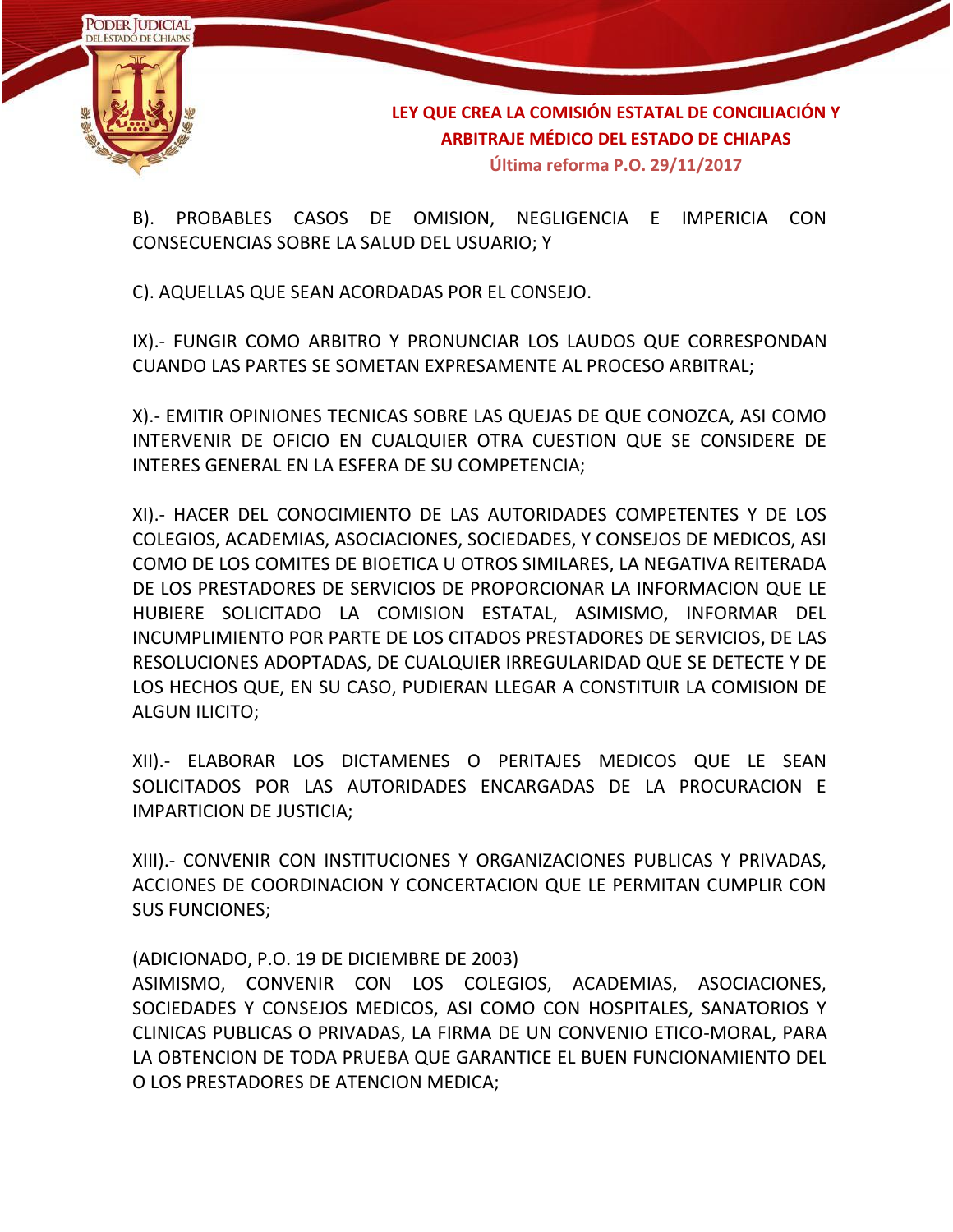

B). PROBABLES CASOS DE OMISION, NEGLIGENCIA E IMPERICIA CON CONSECUENCIAS SOBRE LA SALUD DEL USUARIO; Y

C). AQUELLAS QUE SEAN ACORDADAS POR EL CONSEJO.

IX).- FUNGIR COMO ARBITRO Y PRONUNCIAR LOS LAUDOS QUE CORRESPONDAN CUANDO LAS PARTES SE SOMETAN EXPRESAMENTE AL PROCESO ARBITRAL;

X).- EMITIR OPINIONES TECNICAS SOBRE LAS QUEJAS DE QUE CONOZCA, ASI COMO INTERVENIR DE OFICIO EN CUALQUIER OTRA CUESTION QUE SE CONSIDERE DE INTERES GENERAL EN LA ESFERA DE SU COMPETENCIA;

XI).- HACER DEL CONOCIMIENTO DE LAS AUTORIDADES COMPETENTES Y DE LOS COLEGIOS, ACADEMIAS, ASOCIACIONES, SOCIEDADES, Y CONSEJOS DE MEDICOS, ASI COMO DE LOS COMITES DE BIOETICA U OTROS SIMILARES, LA NEGATIVA REITERADA DE LOS PRESTADORES DE SERVICIOS DE PROPORCIONAR LA INFORMACION QUE LE HUBIERE SOLICITADO LA COMISION ESTATAL, ASIMISMO, INFORMAR DEL INCUMPLIMIENTO POR PARTE DE LOS CITADOS PRESTADORES DE SERVICIOS, DE LAS RESOLUCIONES ADOPTADAS, DE CUALQUIER IRREGULARIDAD QUE SE DETECTE Y DE LOS HECHOS QUE, EN SU CASO, PUDIERAN LLEGAR A CONSTITUIR LA COMISION DE ALGUN ILICITO;

XII).- ELABORAR LOS DICTAMENES O PERITAJES MEDICOS QUE LE SEAN SOLICITADOS POR LAS AUTORIDADES ENCARGADAS DE LA PROCURACION E IMPARTICION DE JUSTICIA;

XIII).- CONVENIR CON INSTITUCIONES Y ORGANIZACIONES PUBLICAS Y PRIVADAS, ACCIONES DE COORDINACION Y CONCERTACION QUE LE PERMITAN CUMPLIR CON SUS FUNCIONES;

(ADICIONADO, P.O. 19 DE DICIEMBRE DE 2003)

ASIMISMO, CONVENIR CON LOS COLEGIOS, ACADEMIAS, ASOCIACIONES, SOCIEDADES Y CONSEJOS MEDICOS, ASI COMO CON HOSPITALES, SANATORIOS Y CLINICAS PUBLICAS O PRIVADAS, LA FIRMA DE UN CONVENIO ETICO-MORAL, PARA LA OBTENCION DE TODA PRUEBA QUE GARANTICE EL BUEN FUNCIONAMIENTO DEL O LOS PRESTADORES DE ATENCION MEDICA;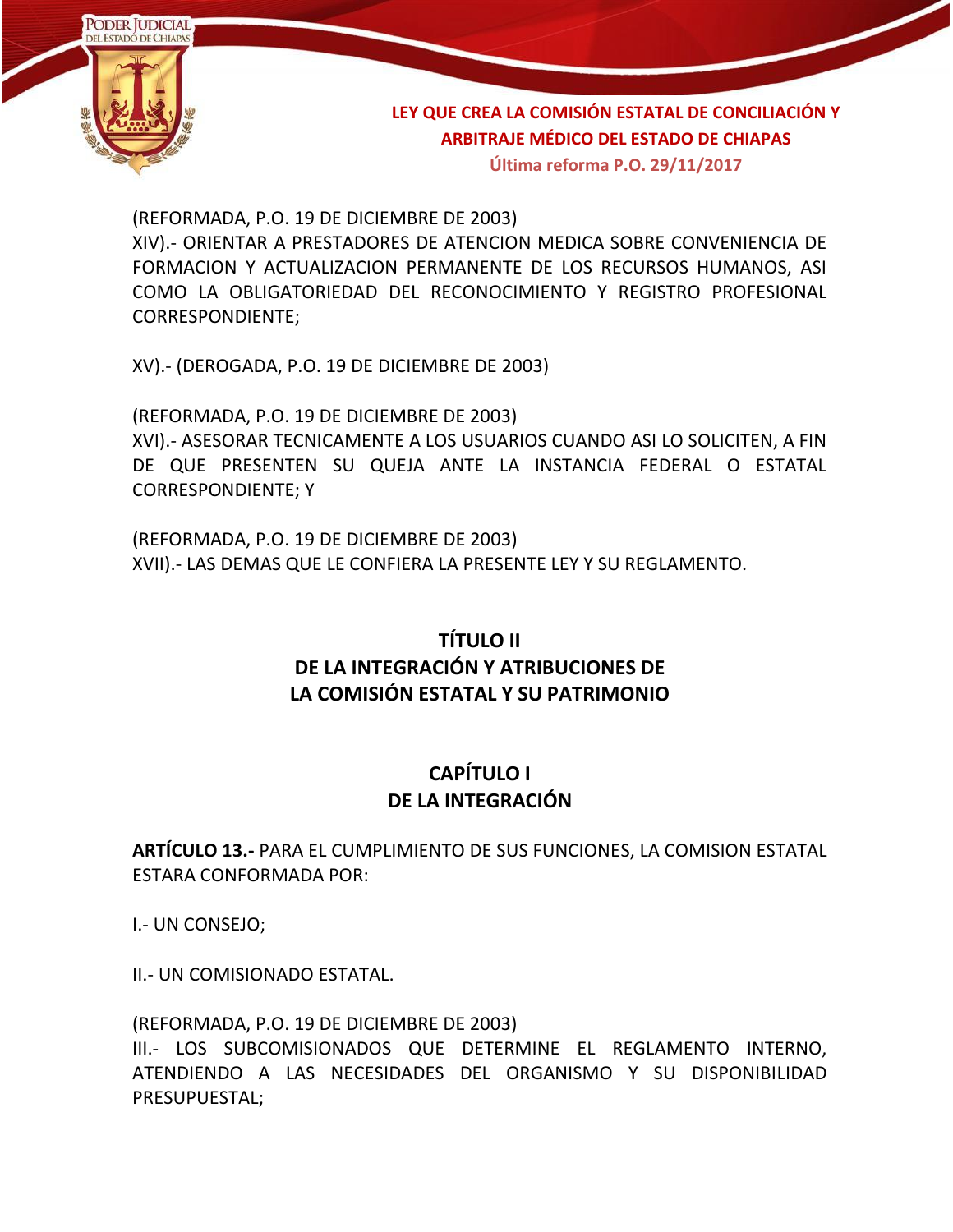

**Última reforma P.O. 29/11/2017**

(REFORMADA, P.O. 19 DE DICIEMBRE DE 2003) XIV).- ORIENTAR A PRESTADORES DE ATENCION MEDICA SOBRE CONVENIENCIA DE FORMACION Y ACTUALIZACION PERMANENTE DE LOS RECURSOS HUMANOS, ASI COMO LA OBLIGATORIEDAD DEL RECONOCIMIENTO Y REGISTRO PROFESIONAL CORRESPONDIENTE;

XV).- (DEROGADA, P.O. 19 DE DICIEMBRE DE 2003)

(REFORMADA, P.O. 19 DE DICIEMBRE DE 2003) XVI).- ASESORAR TECNICAMENTE A LOS USUARIOS CUANDO ASI LO SOLICITEN, A FIN DE QUE PRESENTEN SU QUEJA ANTE LA INSTANCIA FEDERAL O ESTATAL CORRESPONDIENTE; Y

(REFORMADA, P.O. 19 DE DICIEMBRE DE 2003) XVII).- LAS DEMAS QUE LE CONFIERA LA PRESENTE LEY Y SU REGLAMENTO.

## **TÍTULO II DE LA INTEGRACIÓN Y ATRIBUCIONES DE LA COMISIÓN ESTATAL Y SU PATRIMONIO**

#### **CAPÍTULO I DE LA INTEGRACIÓN**

**ARTÍCULO 13.-** PARA EL CUMPLIMIENTO DE SUS FUNCIONES, LA COMISION ESTATAL ESTARA CONFORMADA POR:

I.- UN CONSEJO;

II.- UN COMISIONADO ESTATAL.

(REFORMADA, P.O. 19 DE DICIEMBRE DE 2003) III.- LOS SUBCOMISIONADOS QUE DETERMINE EL REGLAMENTO INTERNO, ATENDIENDO A LAS NECESIDADES DEL ORGANISMO Y SU DISPONIBILIDAD PRESUPUESTAL;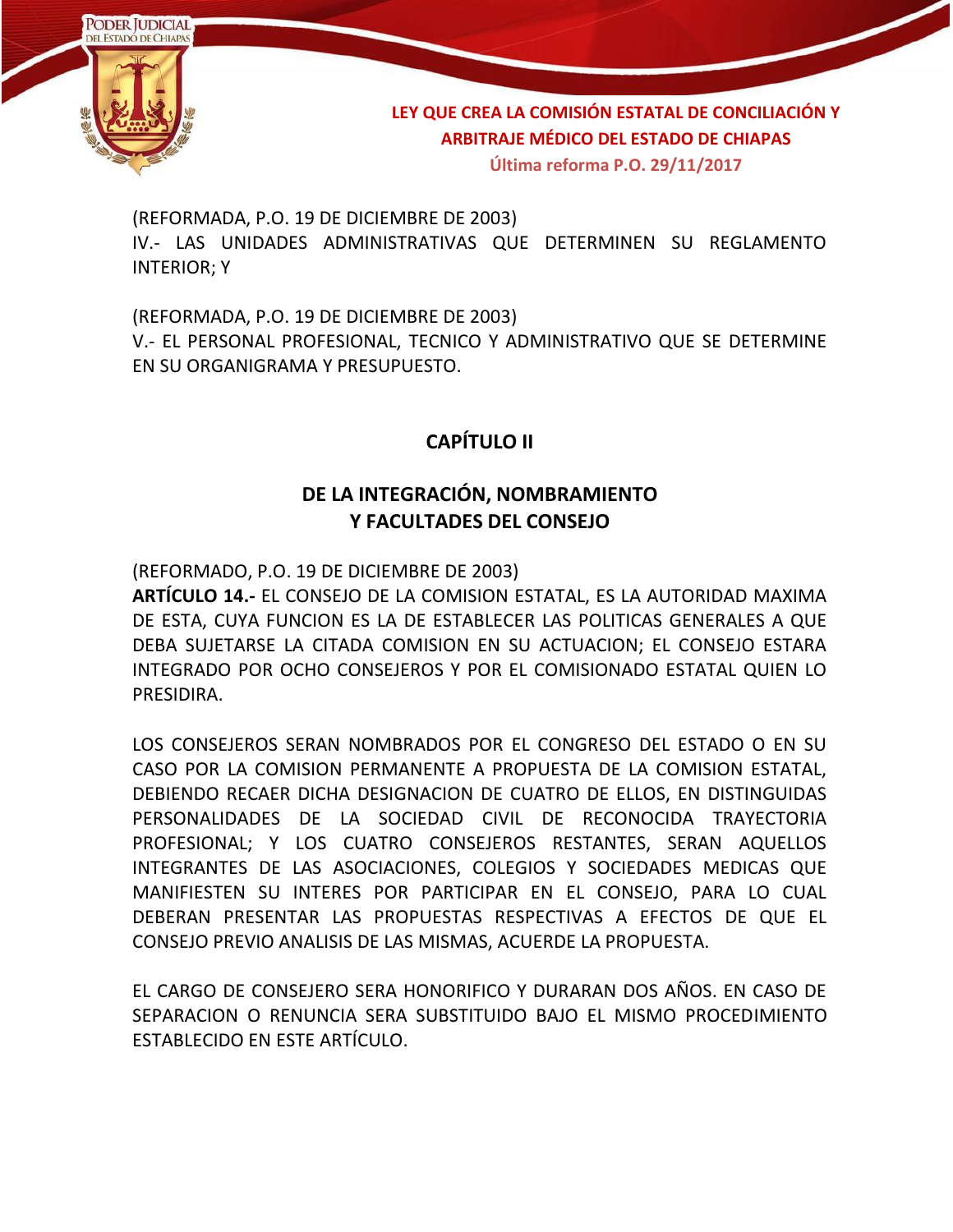

(REFORMADA, P.O. 19 DE DICIEMBRE DE 2003) IV.- LAS UNIDADES ADMINISTRATIVAS QUE DETERMINEN SU REGLAMENTO INTERIOR; Y

(REFORMADA, P.O. 19 DE DICIEMBRE DE 2003) V.- EL PERSONAL PROFESIONAL, TECNICO Y ADMINISTRATIVO QUE SE DETERMINE EN SU ORGANIGRAMA Y PRESUPUESTO.

### **CAPÍTULO II**

### **DE LA INTEGRACIÓN, NOMBRAMIENTO Y FACULTADES DEL CONSEJO**

(REFORMADO, P.O. 19 DE DICIEMBRE DE 2003)

**ARTÍCULO 14.-** EL CONSEJO DE LA COMISION ESTATAL, ES LA AUTORIDAD MAXIMA DE ESTA, CUYA FUNCION ES LA DE ESTABLECER LAS POLITICAS GENERALES A QUE DEBA SUJETARSE LA CITADA COMISION EN SU ACTUACION; EL CONSEJO ESTARA INTEGRADO POR OCHO CONSEJEROS Y POR EL COMISIONADO ESTATAL QUIEN LO PRESIDIRA.

LOS CONSEJEROS SERAN NOMBRADOS POR EL CONGRESO DEL ESTADO O EN SU CASO POR LA COMISION PERMANENTE A PROPUESTA DE LA COMISION ESTATAL, DEBIENDO RECAER DICHA DESIGNACION DE CUATRO DE ELLOS, EN DISTINGUIDAS PERSONALIDADES DE LA SOCIEDAD CIVIL DE RECONOCIDA TRAYECTORIA PROFESIONAL; Y LOS CUATRO CONSEJEROS RESTANTES, SERAN AQUELLOS INTEGRANTES DE LAS ASOCIACIONES, COLEGIOS Y SOCIEDADES MEDICAS QUE MANIFIESTEN SU INTERES POR PARTICIPAR EN EL CONSEJO, PARA LO CUAL DEBERAN PRESENTAR LAS PROPUESTAS RESPECTIVAS A EFECTOS DE QUE EL CONSEJO PREVIO ANALISIS DE LAS MISMAS, ACUERDE LA PROPUESTA.

EL CARGO DE CONSEJERO SERA HONORIFICO Y DURARAN DOS AÑOS. EN CASO DE SEPARACION O RENUNCIA SERA SUBSTITUIDO BAJO EL MISMO PROCEDIMIENTO ESTABLECIDO EN ESTE ARTÍCULO.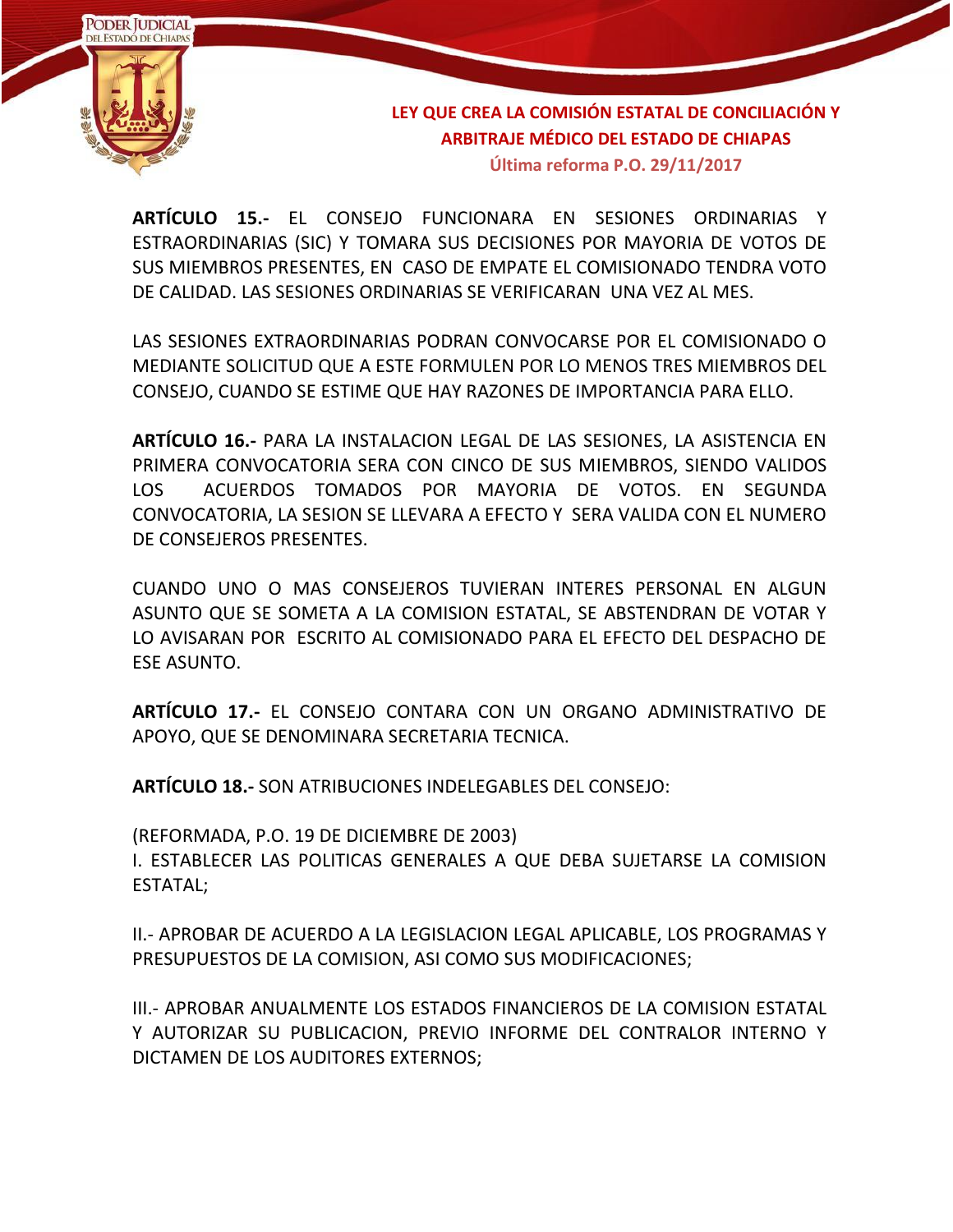

**ARTÍCULO 15.-** EL CONSEJO FUNCIONARA EN SESIONES ORDINARIAS Y ESTRAORDINARIAS (SIC) Y TOMARA SUS DECISIONES POR MAYORIA DE VOTOS DE SUS MIEMBROS PRESENTES, EN CASO DE EMPATE EL COMISIONADO TENDRA VOTO DE CALIDAD. LAS SESIONES ORDINARIAS SE VERIFICARAN UNA VEZ AL MES.

LAS SESIONES EXTRAORDINARIAS PODRAN CONVOCARSE POR EL COMISIONADO O MEDIANTE SOLICITUD QUE A ESTE FORMULEN POR LO MENOS TRES MIEMBROS DEL CONSEJO, CUANDO SE ESTIME QUE HAY RAZONES DE IMPORTANCIA PARA ELLO.

**ARTÍCULO 16.-** PARA LA INSTALACION LEGAL DE LAS SESIONES, LA ASISTENCIA EN PRIMERA CONVOCATORIA SERA CON CINCO DE SUS MIEMBROS, SIENDO VALIDOS LOS ACUERDOS TOMADOS POR MAYORIA DE VOTOS. EN SEGUNDA CONVOCATORIA, LA SESION SE LLEVARA A EFECTO Y SERA VALIDA CON EL NUMERO DE CONSEJEROS PRESENTES.

CUANDO UNO O MAS CONSEJEROS TUVIERAN INTERES PERSONAL EN ALGUN ASUNTO QUE SE SOMETA A LA COMISION ESTATAL, SE ABSTENDRAN DE VOTAR Y LO AVISARAN POR ESCRITO AL COMISIONADO PARA EL EFECTO DEL DESPACHO DE ESE ASUNTO.

**ARTÍCULO 17.-** EL CONSEJO CONTARA CON UN ORGANO ADMINISTRATIVO DE APOYO, QUE SE DENOMINARA SECRETARIA TECNICA.

**ARTÍCULO 18.-** SON ATRIBUCIONES INDELEGABLES DEL CONSEJO:

(REFORMADA, P.O. 19 DE DICIEMBRE DE 2003)

I. ESTABLECER LAS POLITICAS GENERALES A QUE DEBA SUJETARSE LA COMISION ESTATAL;

II.- APROBAR DE ACUERDO A LA LEGISLACION LEGAL APLICABLE, LOS PROGRAMAS Y PRESUPUESTOS DE LA COMISION, ASI COMO SUS MODIFICACIONES;

III.- APROBAR ANUALMENTE LOS ESTADOS FINANCIEROS DE LA COMISION ESTATAL Y AUTORIZAR SU PUBLICACION, PREVIO INFORME DEL CONTRALOR INTERNO Y DICTAMEN DE LOS AUDITORES EXTERNOS;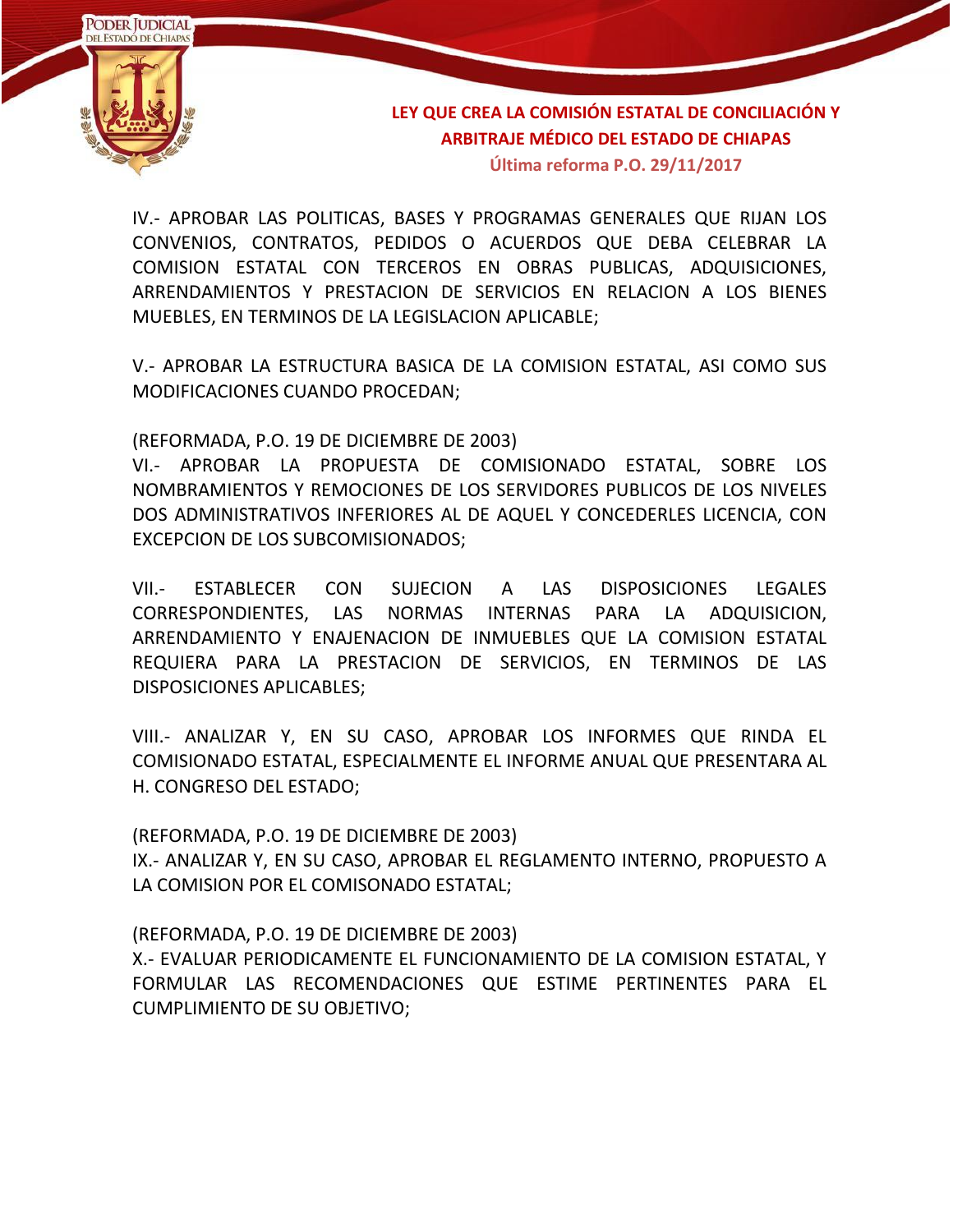

IV.- APROBAR LAS POLITICAS, BASES Y PROGRAMAS GENERALES QUE RIJAN LOS CONVENIOS, CONTRATOS, PEDIDOS O ACUERDOS QUE DEBA CELEBRAR LA COMISION ESTATAL CON TERCEROS EN OBRAS PUBLICAS, ADQUISICIONES, ARRENDAMIENTOS Y PRESTACION DE SERVICIOS EN RELACION A LOS BIENES MUEBLES, EN TERMINOS DE LA LEGISLACION APLICABLE;

V.- APROBAR LA ESTRUCTURA BASICA DE LA COMISION ESTATAL, ASI COMO SUS MODIFICACIONES CUANDO PROCEDAN;

(REFORMADA, P.O. 19 DE DICIEMBRE DE 2003)

VI.- APROBAR LA PROPUESTA DE COMISIONADO ESTATAL, SOBRE LOS NOMBRAMIENTOS Y REMOCIONES DE LOS SERVIDORES PUBLICOS DE LOS NIVELES DOS ADMINISTRATIVOS INFERIORES AL DE AQUEL Y CONCEDERLES LICENCIA, CON EXCEPCION DE LOS SUBCOMISIONADOS;

VII.- ESTABLECER CON SUJECION A LAS DISPOSICIONES LEGALES CORRESPONDIENTES, LAS NORMAS INTERNAS PARA LA ADQUISICION, ARRENDAMIENTO Y ENAJENACION DE INMUEBLES QUE LA COMISION ESTATAL REQUIERA PARA LA PRESTACION DE SERVICIOS, EN TERMINOS DE LAS DISPOSICIONES APLICABLES;

VIII.- ANALIZAR Y, EN SU CASO, APROBAR LOS INFORMES QUE RINDA EL COMISIONADO ESTATAL, ESPECIALMENTE EL INFORME ANUAL QUE PRESENTARA AL H. CONGRESO DEL ESTADO;

(REFORMADA, P.O. 19 DE DICIEMBRE DE 2003) IX.- ANALIZAR Y, EN SU CASO, APROBAR EL REGLAMENTO INTERNO, PROPUESTO A LA COMISION POR EL COMISONADO ESTATAL;

(REFORMADA, P.O. 19 DE DICIEMBRE DE 2003)

X.- EVALUAR PERIODICAMENTE EL FUNCIONAMIENTO DE LA COMISION ESTATAL, Y FORMULAR LAS RECOMENDACIONES QUE ESTIME PERTINENTES PARA EL CUMPLIMIENTO DE SU OBJETIVO;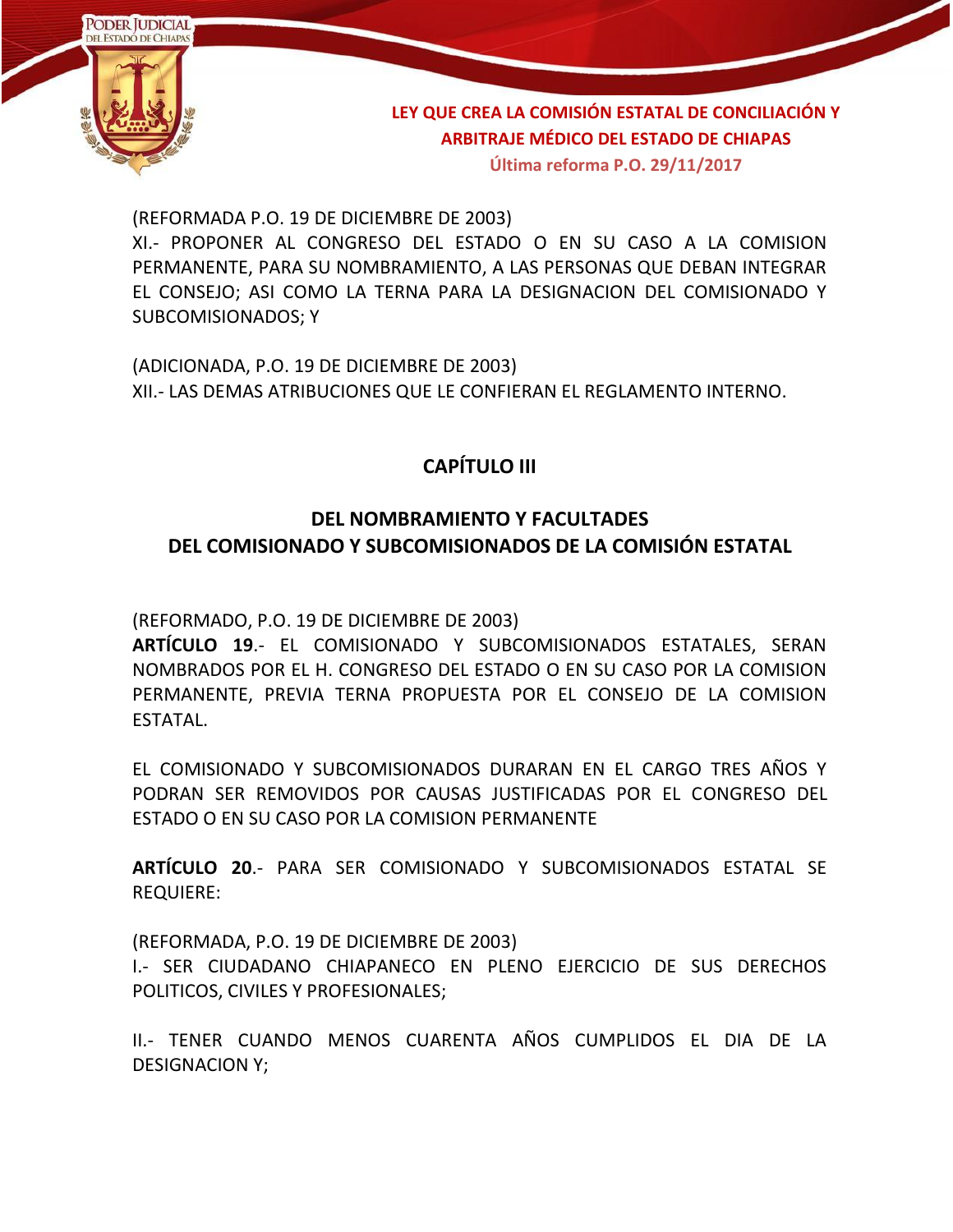

**Última reforma P.O. 29/11/2017**

(REFORMADA P.O. 19 DE DICIEMBRE DE 2003)

XI.- PROPONER AL CONGRESO DEL ESTADO O EN SU CASO A LA COMISION PERMANENTE, PARA SU NOMBRAMIENTO, A LAS PERSONAS QUE DEBAN INTEGRAR EL CONSEJO; ASI COMO LA TERNA PARA LA DESIGNACION DEL COMISIONADO Y SUBCOMISIONADOS; Y

(ADICIONADA, P.O. 19 DE DICIEMBRE DE 2003) XII.- LAS DEMAS ATRIBUCIONES QUE LE CONFIERAN EL REGLAMENTO INTERNO.

#### **CAPÍTULO III**

#### **DEL NOMBRAMIENTO Y FACULTADES DEL COMISIONADO Y SUBCOMISIONADOS DE LA COMISIÓN ESTATAL**

(REFORMADO, P.O. 19 DE DICIEMBRE DE 2003)

**ARTÍCULO 19**.- EL COMISIONADO Y SUBCOMISIONADOS ESTATALES, SERAN NOMBRADOS POR EL H. CONGRESO DEL ESTADO O EN SU CASO POR LA COMISION PERMANENTE, PREVIA TERNA PROPUESTA POR EL CONSEJO DE LA COMISION ESTATAL.

EL COMISIONADO Y SUBCOMISIONADOS DURARAN EN EL CARGO TRES AÑOS Y PODRAN SER REMOVIDOS POR CAUSAS JUSTIFICADAS POR EL CONGRESO DEL ESTADO O EN SU CASO POR LA COMISION PERMANENTE

**ARTÍCULO 20**.- PARA SER COMISIONADO Y SUBCOMISIONADOS ESTATAL SE REQUIERE:

(REFORMADA, P.O. 19 DE DICIEMBRE DE 2003)

I.- SER CIUDADANO CHIAPANECO EN PLENO EJERCICIO DE SUS DERECHOS POLITICOS, CIVILES Y PROFESIONALES;

II.- TENER CUANDO MENOS CUARENTA AÑOS CUMPLIDOS EL DIA DE LA DESIGNACION Y;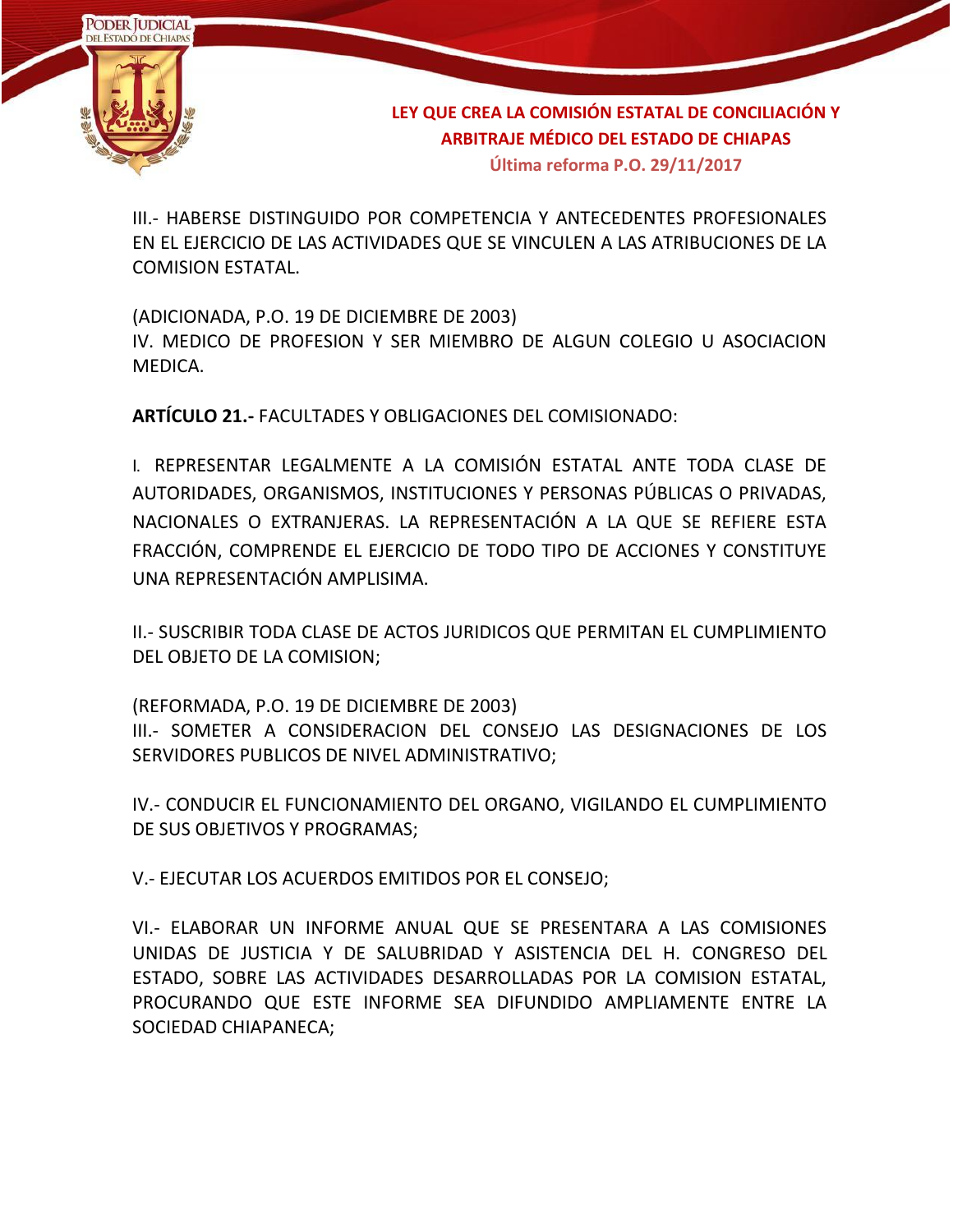

III.- HABERSE DISTINGUIDO POR COMPETENCIA Y ANTECEDENTES PROFESIONALES EN EL EJERCICIO DE LAS ACTIVIDADES QUE SE VINCULEN A LAS ATRIBUCIONES DE LA COMISION ESTATAL.

(ADICIONADA, P.O. 19 DE DICIEMBRE DE 2003) IV. MEDICO DE PROFESION Y SER MIEMBRO DE ALGUN COLEGIO U ASOCIACION MEDICA.

**ARTÍCULO 21.-** FACULTADES Y OBLIGACIONES DEL COMISIONADO:

I. REPRESENTAR LEGALMENTE A LA COMISIÓN ESTATAL ANTE TODA CLASE DE AUTORIDADES, ORGANISMOS, INSTITUCIONES Y PERSONAS PÚBLICAS O PRIVADAS, NACIONALES O EXTRANJERAS. LA REPRESENTACIÓN A LA QUE SE REFIERE ESTA FRACCIÓN, COMPRENDE EL EJERCICIO DE TODO TIPO DE ACCIONES Y CONSTITUYE UNA REPRESENTACIÓN AMPLISIMA.

II.- SUSCRIBIR TODA CLASE DE ACTOS JURIDICOS QUE PERMITAN EL CUMPLIMIENTO DEL OBJETO DE LA COMISION;

(REFORMADA, P.O. 19 DE DICIEMBRE DE 2003) III.- SOMETER A CONSIDERACION DEL CONSEJO LAS DESIGNACIONES DE LOS SERVIDORES PUBLICOS DE NIVEL ADMINISTRATIVO;

IV.- CONDUCIR EL FUNCIONAMIENTO DEL ORGANO, VIGILANDO EL CUMPLIMIENTO DE SUS OBJETIVOS Y PROGRAMAS;

V.- EJECUTAR LOS ACUERDOS EMITIDOS POR EL CONSEJO;

VI.- ELABORAR UN INFORME ANUAL QUE SE PRESENTARA A LAS COMISIONES UNIDAS DE JUSTICIA Y DE SALUBRIDAD Y ASISTENCIA DEL H. CONGRESO DEL ESTADO, SOBRE LAS ACTIVIDADES DESARROLLADAS POR LA COMISION ESTATAL, PROCURANDO QUE ESTE INFORME SEA DIFUNDIDO AMPLIAMENTE ENTRE LA SOCIEDAD CHIAPANECA;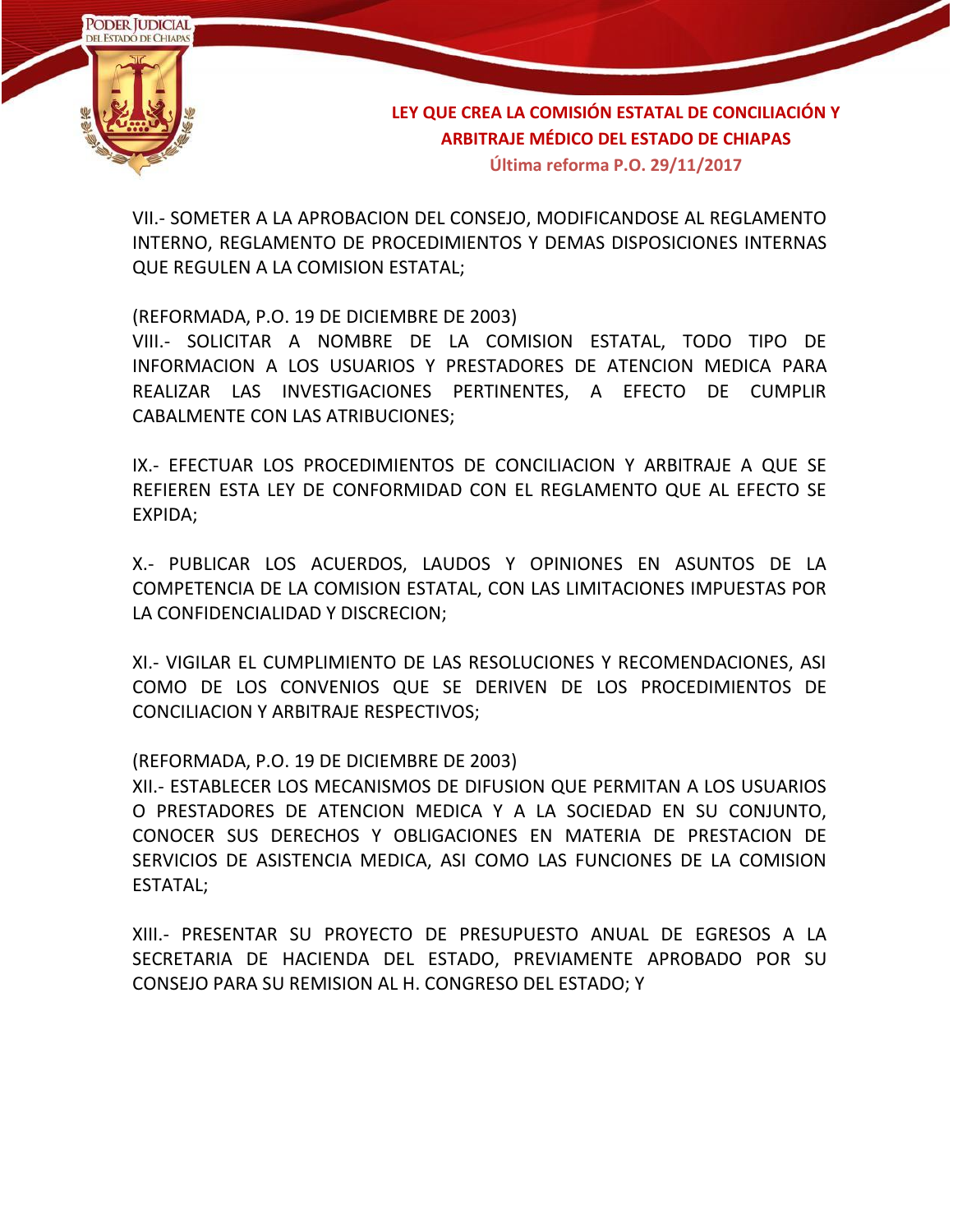

VII.- SOMETER A LA APROBACION DEL CONSEJO, MODIFICANDOSE AL REGLAMENTO INTERNO, REGLAMENTO DE PROCEDIMIENTOS Y DEMAS DISPOSICIONES INTERNAS QUE REGULEN A LA COMISION ESTATAL;

(REFORMADA, P.O. 19 DE DICIEMBRE DE 2003)

VIII.- SOLICITAR A NOMBRE DE LA COMISION ESTATAL, TODO TIPO DE INFORMACION A LOS USUARIOS Y PRESTADORES DE ATENCION MEDICA PARA REALIZAR LAS INVESTIGACIONES PERTINENTES, A EFECTO DE CUMPLIR CABALMENTE CON LAS ATRIBUCIONES;

IX.- EFECTUAR LOS PROCEDIMIENTOS DE CONCILIACION Y ARBITRAJE A QUE SE REFIEREN ESTA LEY DE CONFORMIDAD CON EL REGLAMENTO QUE AL EFECTO SE EXPIDA;

X.- PUBLICAR LOS ACUERDOS, LAUDOS Y OPINIONES EN ASUNTOS DE LA COMPETENCIA DE LA COMISION ESTATAL, CON LAS LIMITACIONES IMPUESTAS POR LA CONFIDENCIALIDAD Y DISCRECION;

XI.- VIGILAR EL CUMPLIMIENTO DE LAS RESOLUCIONES Y RECOMENDACIONES, ASI COMO DE LOS CONVENIOS QUE SE DERIVEN DE LOS PROCEDIMIENTOS DE CONCILIACION Y ARBITRAJE RESPECTIVOS;

(REFORMADA, P.O. 19 DE DICIEMBRE DE 2003)

XII.- ESTABLECER LOS MECANISMOS DE DIFUSION QUE PERMITAN A LOS USUARIOS O PRESTADORES DE ATENCION MEDICA Y A LA SOCIEDAD EN SU CONJUNTO, CONOCER SUS DERECHOS Y OBLIGACIONES EN MATERIA DE PRESTACION DE SERVICIOS DE ASISTENCIA MEDICA, ASI COMO LAS FUNCIONES DE LA COMISION ESTATAL;

XIII.- PRESENTAR SU PROYECTO DE PRESUPUESTO ANUAL DE EGRESOS A LA SECRETARIA DE HACIENDA DEL ESTADO, PREVIAMENTE APROBADO POR SU CONSEJO PARA SU REMISION AL H. CONGRESO DEL ESTADO; Y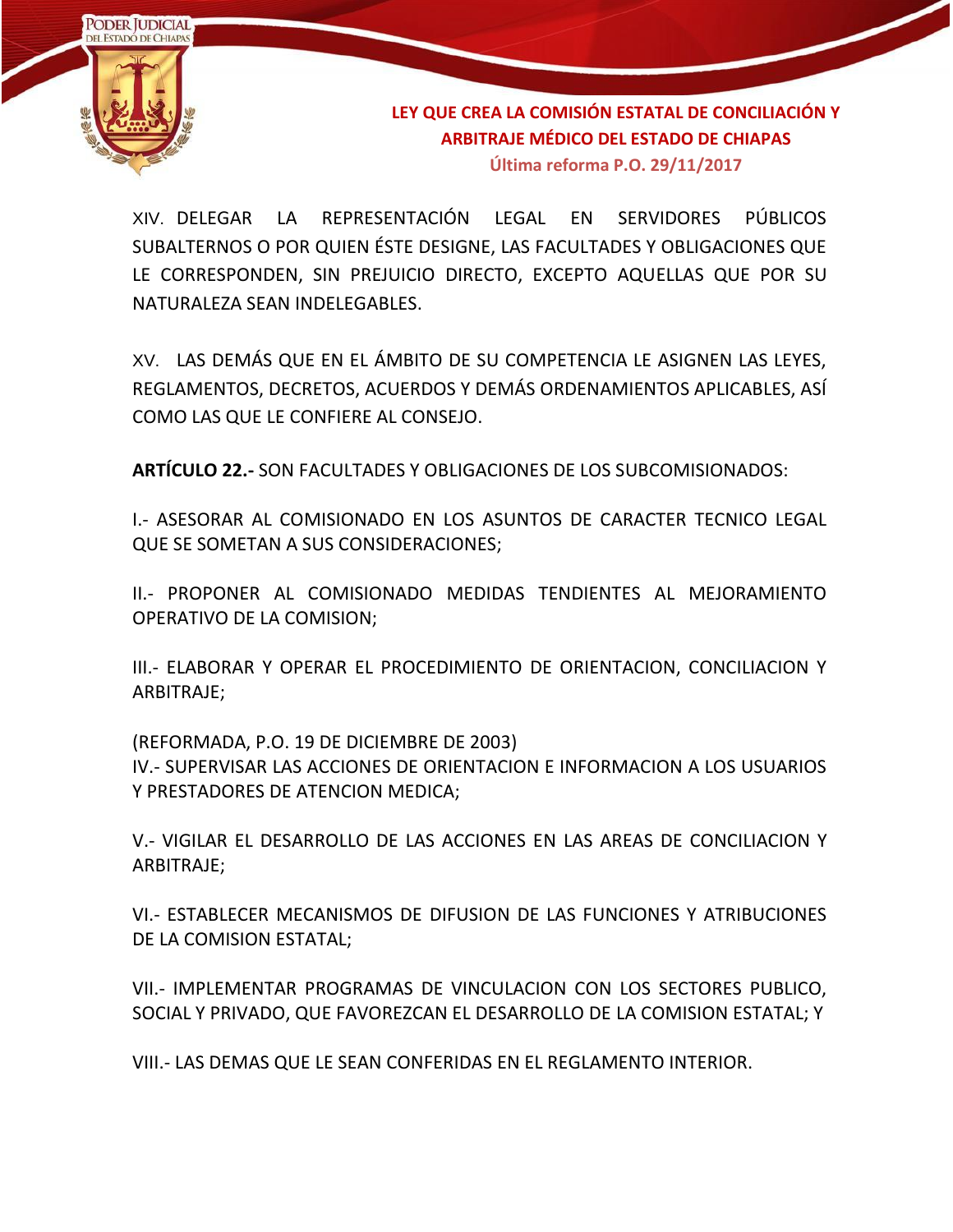

XIV. DELEGAR LA REPRESENTACIÓN LEGAL EN SERVIDORES PÚBLICOS SUBALTERNOS O POR QUIEN ÉSTE DESIGNE, LAS FACULTADES Y OBLIGACIONES QUE LE CORRESPONDEN, SIN PREJUICIO DIRECTO, EXCEPTO AQUELLAS QUE POR SU NATURALEZA SEAN INDELEGABLES.

XV. LAS DEMÁS QUE EN EL ÁMBITO DE SU COMPETENCIA LE ASIGNEN LAS LEYES, REGLAMENTOS, DECRETOS, ACUERDOS Y DEMÁS ORDENAMIENTOS APLICABLES, ASÍ COMO LAS QUE LE CONFIERE AL CONSEJO.

**ARTÍCULO 22.-** SON FACULTADES Y OBLIGACIONES DE LOS SUBCOMISIONADOS:

I.- ASESORAR AL COMISIONADO EN LOS ASUNTOS DE CARACTER TECNICO LEGAL QUE SE SOMETAN A SUS CONSIDERACIONES;

II.- PROPONER AL COMISIONADO MEDIDAS TENDIENTES AL MEJORAMIENTO OPERATIVO DE LA COMISION;

III.- ELABORAR Y OPERAR EL PROCEDIMIENTO DE ORIENTACION, CONCILIACION Y ARBITRAJE;

(REFORMADA, P.O. 19 DE DICIEMBRE DE 2003) IV.- SUPERVISAR LAS ACCIONES DE ORIENTACION E INFORMACION A LOS USUARIOS Y PRESTADORES DE ATENCION MEDICA;

V.- VIGILAR EL DESARROLLO DE LAS ACCIONES EN LAS AREAS DE CONCILIACION Y ARBITRAJE;

VI.- ESTABLECER MECANISMOS DE DIFUSION DE LAS FUNCIONES Y ATRIBUCIONES DE LA COMISION ESTATAL;

VII.- IMPLEMENTAR PROGRAMAS DE VINCULACION CON LOS SECTORES PUBLICO, SOCIAL Y PRIVADO, QUE FAVOREZCAN EL DESARROLLO DE LA COMISION ESTATAL; Y

VIII.- LAS DEMAS QUE LE SEAN CONFERIDAS EN EL REGLAMENTO INTERIOR.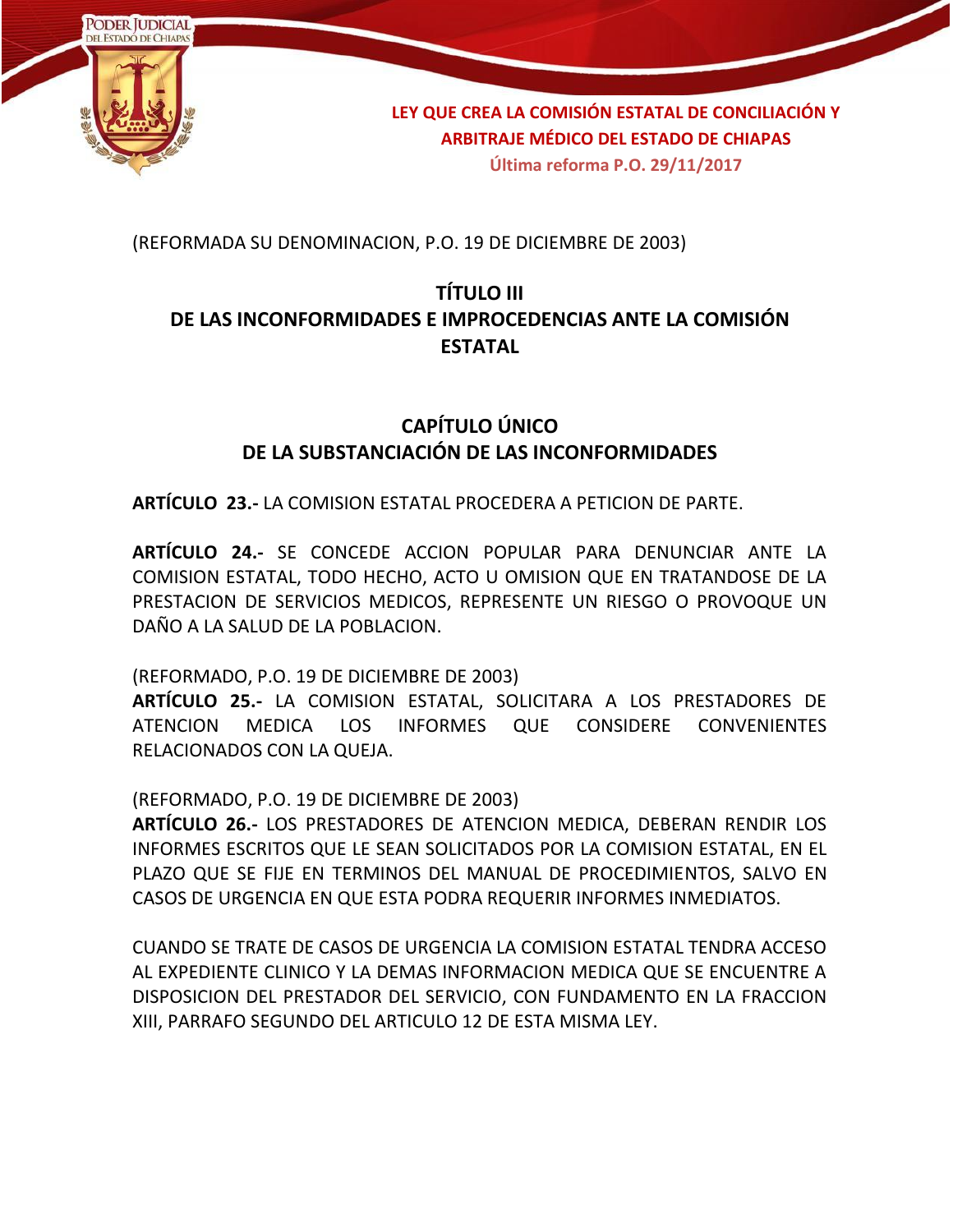

(REFORMADA SU DENOMINACION, P.O. 19 DE DICIEMBRE DE 2003)

## **TÍTULO III DE LAS INCONFORMIDADES E IMPROCEDENCIAS ANTE LA COMISIÓN ESTATAL**

## **CAPÍTULO ÚNICO DE LA SUBSTANCIACIÓN DE LAS INCONFORMIDADES**

**ARTÍCULO 23.-** LA COMISION ESTATAL PROCEDERA A PETICION DE PARTE.

**ARTÍCULO 24.-** SE CONCEDE ACCION POPULAR PARA DENUNCIAR ANTE LA COMISION ESTATAL, TODO HECHO, ACTO U OMISION QUE EN TRATANDOSE DE LA PRESTACION DE SERVICIOS MEDICOS, REPRESENTE UN RIESGO O PROVOQUE UN DAÑO A LA SALUD DE LA POBLACION.

(REFORMADO, P.O. 19 DE DICIEMBRE DE 2003)

**ARTÍCULO 25.-** LA COMISION ESTATAL, SOLICITARA A LOS PRESTADORES DE ATENCION MEDICA LOS INFORMES QUE CONSIDERE CONVENIENTES RELACIONADOS CON LA QUEJA.

(REFORMADO, P.O. 19 DE DICIEMBRE DE 2003)

**ARTÍCULO 26.-** LOS PRESTADORES DE ATENCION MEDICA, DEBERAN RENDIR LOS INFORMES ESCRITOS QUE LE SEAN SOLICITADOS POR LA COMISION ESTATAL, EN EL PLAZO QUE SE FIJE EN TERMINOS DEL MANUAL DE PROCEDIMIENTOS, SALVO EN CASOS DE URGENCIA EN QUE ESTA PODRA REQUERIR INFORMES INMEDIATOS.

CUANDO SE TRATE DE CASOS DE URGENCIA LA COMISION ESTATAL TENDRA ACCESO AL EXPEDIENTE CLINICO Y LA DEMAS INFORMACION MEDICA QUE SE ENCUENTRE A DISPOSICION DEL PRESTADOR DEL SERVICIO, CON FUNDAMENTO EN LA FRACCION XIII, PARRAFO SEGUNDO DEL ARTICULO 12 DE ESTA MISMA LEY.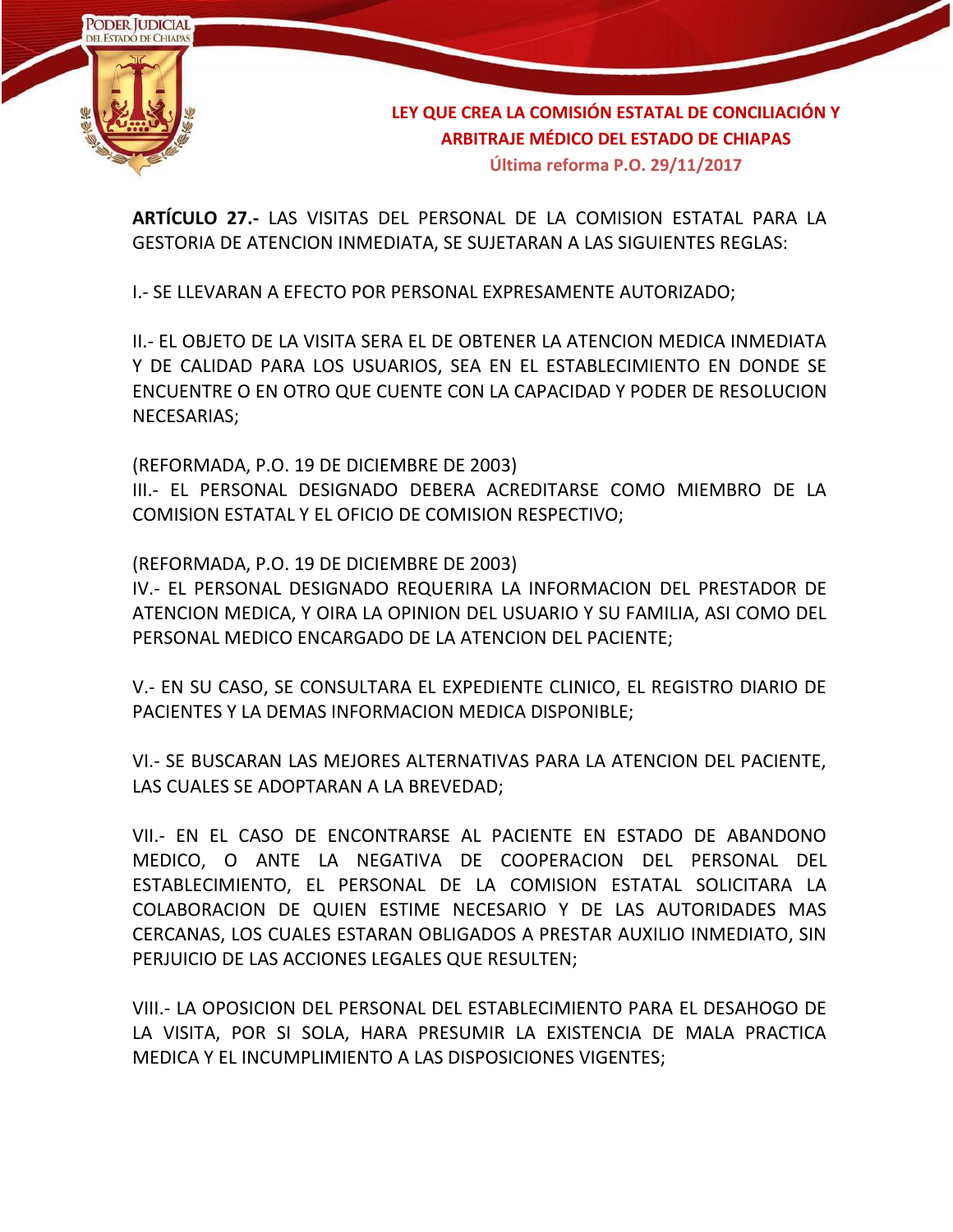

**ARTÍCULO 27.-** LAS VISITAS DEL PERSONAL DE LA COMISION ESTATAL PARA LA GESTORIA DE ATENCION INMEDIATA, SE SUJETARAN A LAS SIGUIENTES REGLAS:

I.- SE LLEVARAN A EFECTO POR PERSONAL EXPRESAMENTE AUTORIZADO;

II.- EL OBJETO DE LA VISITA SERA EL DE OBTENER LA ATENCION MEDICA INMEDIATA Y DE CALIDAD PARA LOS USUARIOS, SEA EN EL ESTABLECIMIENTO EN DONDE SE ENCUENTRE O EN OTRO QUE CUENTE CON LA CAPACIDAD Y PODER DE RESOLUCION NECESARIAS;

(REFORMADA, P.O. 19 DE DICIEMBRE DE 2003) III.- EL PERSONAL DESIGNADO DEBERA ACREDITARSE COMO MIEMBRO DE LA COMISION ESTATAL Y EL OFICIO DE COMISION RESPECTIVO;

(REFORMADA, P.O. 19 DE DICIEMBRE DE 2003)

IV.- EL PERSONAL DESIGNADO REQUERIRA LA INFORMACION DEL PRESTADOR DE ATENCION MEDICA, Y OIRA LA OPINION DEL USUARIO Y SU FAMILIA, ASI COMO DEL PERSONAL MEDICO ENCARGADO DE LA ATENCION DEL PACIENTE;

V.- EN SU CASO, SE CONSULTARA EL EXPEDIENTE CLINICO, EL REGISTRO DIARIO DE PACIENTES Y LA DEMAS INFORMACION MEDICA DISPONIBLE;

VI.- SE BUSCARAN LAS MEJORES ALTERNATIVAS PARA LA ATENCION DEL PACIENTE, LAS CUALES SE ADOPTARAN A LA BREVEDAD;

VII.- EN EL CASO DE ENCONTRARSE AL PACIENTE EN ESTADO DE ABANDONO MEDICO, O ANTE LA NEGATIVA DE COOPERACION DEL PERSONAL DEL ESTABLECIMIENTO, EL PERSONAL DE LA COMISION ESTATAL SOLICITARA LA COLABORACION DE QUIEN ESTIME NECESARIO Y DE LAS AUTORIDADES MAS CERCANAS, LOS CUALES ESTARAN OBLIGADOS A PRESTAR AUXILIO INMEDIATO, SIN PERJUICIO DE LAS ACCIONES LEGALES QUE RESULTEN;

VIII.- LA OPOSICION DEL PERSONAL DEL ESTABLECIMIENTO PARA EL DESAHOGO DE LA VISITA, POR SI SOLA, HARA PRESUMIR LA EXISTENCIA DE MALA PRACTICA MEDICA Y EL INCUMPLIMIENTO A LAS DISPOSICIONES VIGENTES;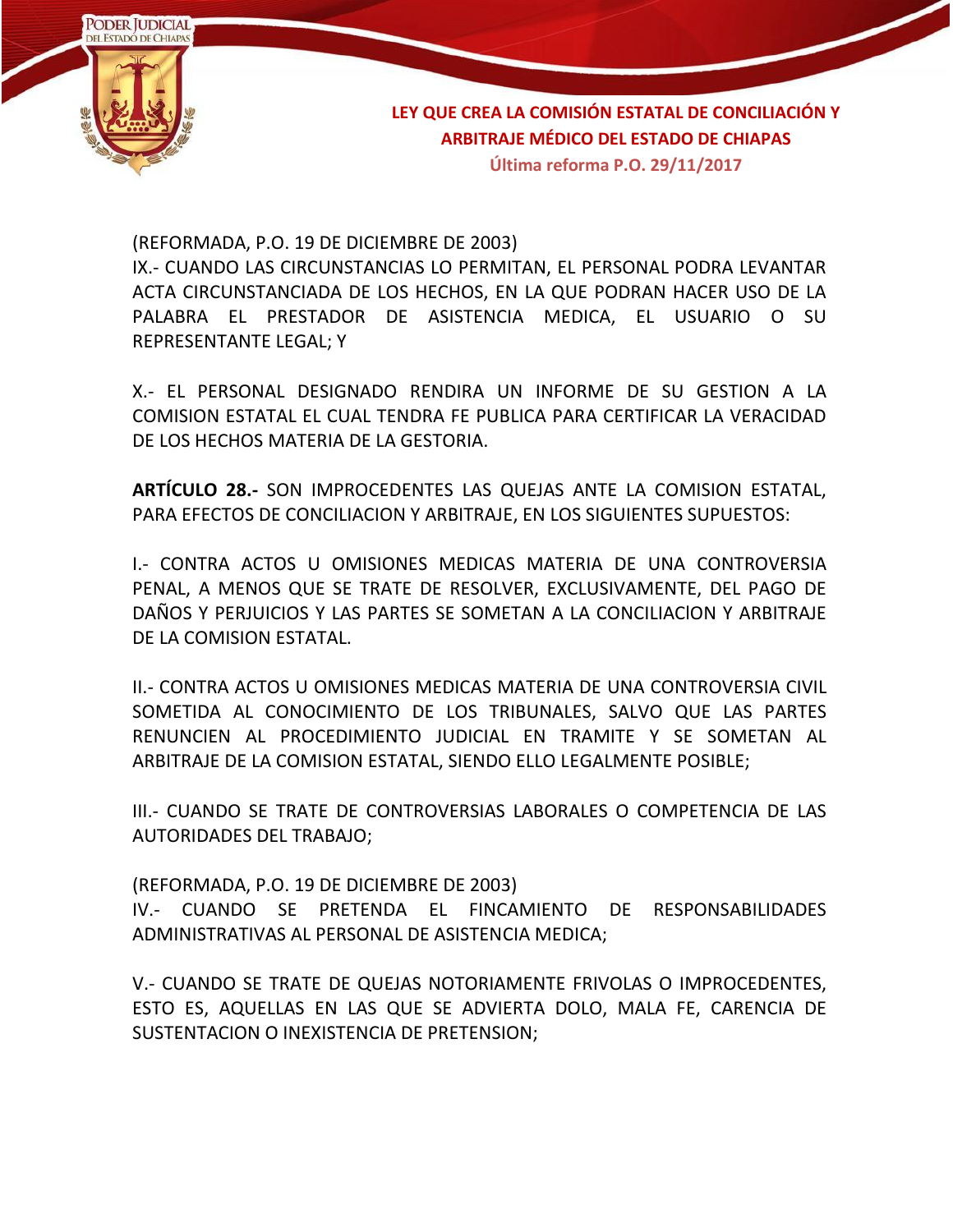

(REFORMADA, P.O. 19 DE DICIEMBRE DE 2003)

IX.- CUANDO LAS CIRCUNSTANCIAS LO PERMITAN, EL PERSONAL PODRA LEVANTAR ACTA CIRCUNSTANCIADA DE LOS HECHOS, EN LA QUE PODRAN HACER USO DE LA PALABRA EL PRESTADOR DE ASISTENCIA MEDICA, EL USUARIO O SU REPRESENTANTE LEGAL; Y

X.- EL PERSONAL DESIGNADO RENDIRA UN INFORME DE SU GESTION A LA COMISION ESTATAL EL CUAL TENDRA FE PUBLICA PARA CERTIFICAR LA VERACIDAD DE LOS HECHOS MATERIA DE LA GESTORIA.

**ARTÍCULO 28.-** SON IMPROCEDENTES LAS QUEJAS ANTE LA COMISION ESTATAL, PARA EFECTOS DE CONCILIACION Y ARBITRAJE, EN LOS SIGUIENTES SUPUESTOS:

I.- CONTRA ACTOS U OMISIONES MEDICAS MATERIA DE UNA CONTROVERSIA PENAL, A MENOS QUE SE TRATE DE RESOLVER, EXCLUSIVAMENTE, DEL PAGO DE DAÑOS Y PERJUICIOS Y LAS PARTES SE SOMETAN A LA CONCILIAClON Y ARBITRAJE DE LA COMISION ESTATAL.

II.- CONTRA ACTOS U OMISIONES MEDICAS MATERIA DE UNA CONTROVERSIA CIVIL SOMETIDA AL CONOCIMIENTO DE LOS TRIBUNALES, SALVO QUE LAS PARTES RENUNCIEN AL PROCEDIMIENTO JUDICIAL EN TRAMITE Y SE SOMETAN AL ARBITRAJE DE LA COMISION ESTATAL, SIENDO ELLO LEGALMENTE POSIBLE;

III.- CUANDO SE TRATE DE CONTROVERSIAS LABORALES O COMPETENCIA DE LAS AUTORIDADES DEL TRABAJO;

(REFORMADA, P.O. 19 DE DICIEMBRE DE 2003) IV.- CUANDO SE PRETENDA EL FINCAMIENTO DE RESPONSABILIDADES ADMINISTRATIVAS AL PERSONAL DE ASISTENCIA MEDICA;

V.- CUANDO SE TRATE DE QUEJAS NOTORIAMENTE FRIVOLAS O IMPROCEDENTES, ESTO ES, AQUELLAS EN LAS QUE SE ADVIERTA DOLO, MALA FE, CARENCIA DE SUSTENTACION O INEXISTENCIA DE PRETENSION;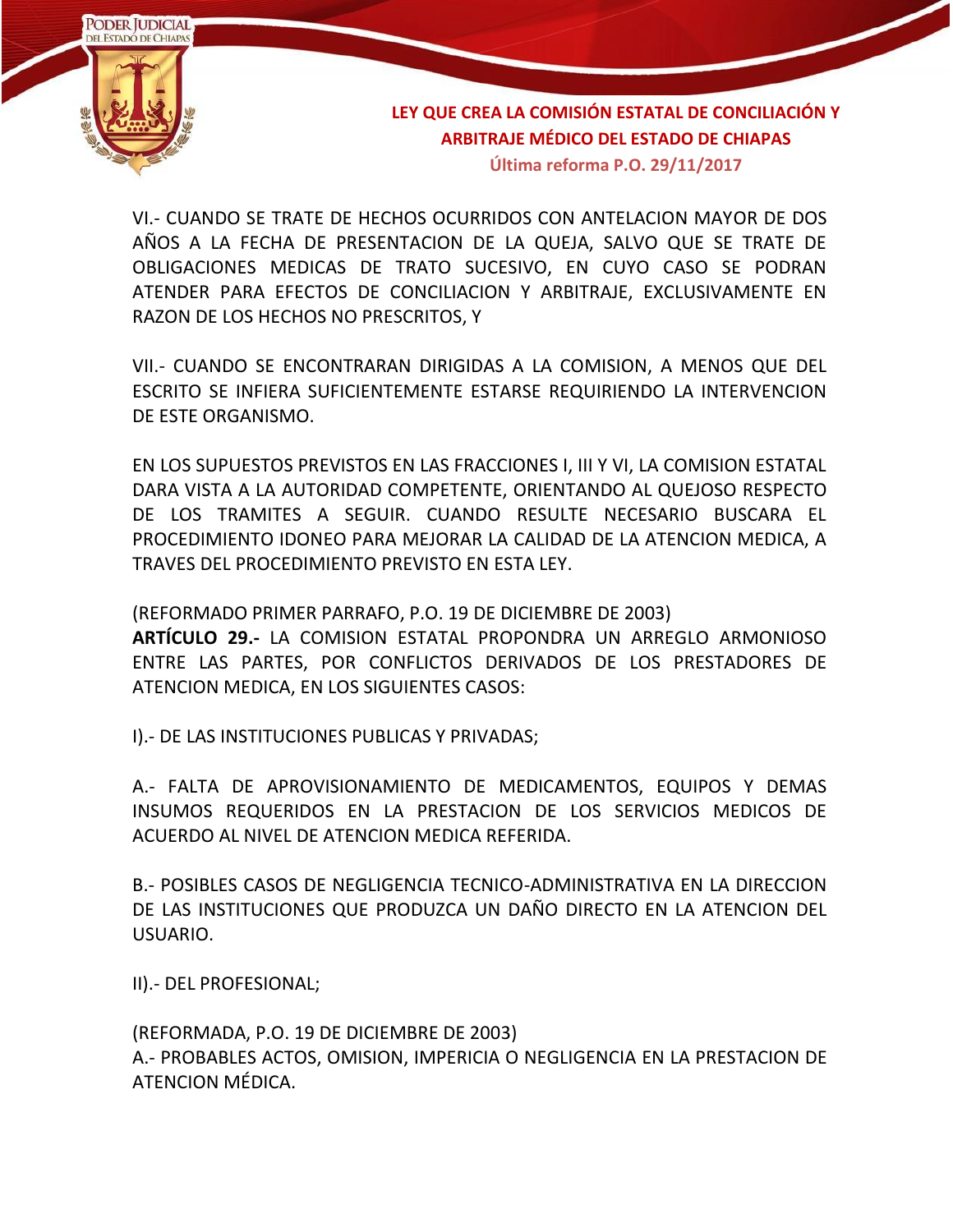

VI.- CUANDO SE TRATE DE HECHOS OCURRIDOS CON ANTELACION MAYOR DE DOS AÑOS A LA FECHA DE PRESENTACION DE LA QUEJA, SALVO QUE SE TRATE DE OBLIGACIONES MEDICAS DE TRATO SUCESIVO, EN CUYO CASO SE PODRAN ATENDER PARA EFECTOS DE CONCILIACION Y ARBITRAJE, EXCLUSIVAMENTE EN RAZON DE LOS HECHOS NO PRESCRITOS, Y

VII.- CUANDO SE ENCONTRARAN DIRIGIDAS A LA COMISION, A MENOS QUE DEL ESCRITO SE INFIERA SUFICIENTEMENTE ESTARSE REQUIRIENDO LA INTERVENCION DE ESTE ORGANISMO.

EN LOS SUPUESTOS PREVISTOS EN LAS FRACCIONES I, III Y VI, LA COMISION ESTATAL DARA VISTA A LA AUTORIDAD COMPETENTE, ORIENTANDO AL QUEJOSO RESPECTO DE LOS TRAMITES A SEGUIR. CUANDO RESULTE NECESARIO BUSCARA EL PROCEDIMIENTO IDONEO PARA MEJORAR LA CALIDAD DE LA ATENCION MEDICA, A TRAVES DEL PROCEDIMIENTO PREVISTO EN ESTA LEY.

(REFORMADO PRIMER PARRAFO, P.O. 19 DE DICIEMBRE DE 2003) **ARTÍCULO 29.-** LA COMISION ESTATAL PROPONDRA UN ARREGLO ARMONIOSO ENTRE LAS PARTES, POR CONFLICTOS DERIVADOS DE LOS PRESTADORES DE ATENCION MEDICA, EN LOS SIGUIENTES CASOS:

I).- DE LAS INSTITUCIONES PUBLICAS Y PRIVADAS;

A.- FALTA DE APROVISIONAMIENTO DE MEDICAMENTOS, EQUIPOS Y DEMAS INSUMOS REQUERIDOS EN LA PRESTACION DE LOS SERVICIOS MEDICOS DE ACUERDO AL NIVEL DE ATENCION MEDICA REFERIDA.

B.- POSIBLES CASOS DE NEGLIGENCIA TECNICO-ADMINISTRATIVA EN LA DIRECCION DE LAS INSTITUCIONES QUE PRODUZCA UN DAÑO DIRECTO EN LA ATENCION DEL USUARIO.

II).- DEL PROFESIONAL;

(REFORMADA, P.O. 19 DE DICIEMBRE DE 2003) A.- PROBABLES ACTOS, OMISION, IMPERICIA O NEGLIGENCIA EN LA PRESTACION DE ATENCION MÉDICA.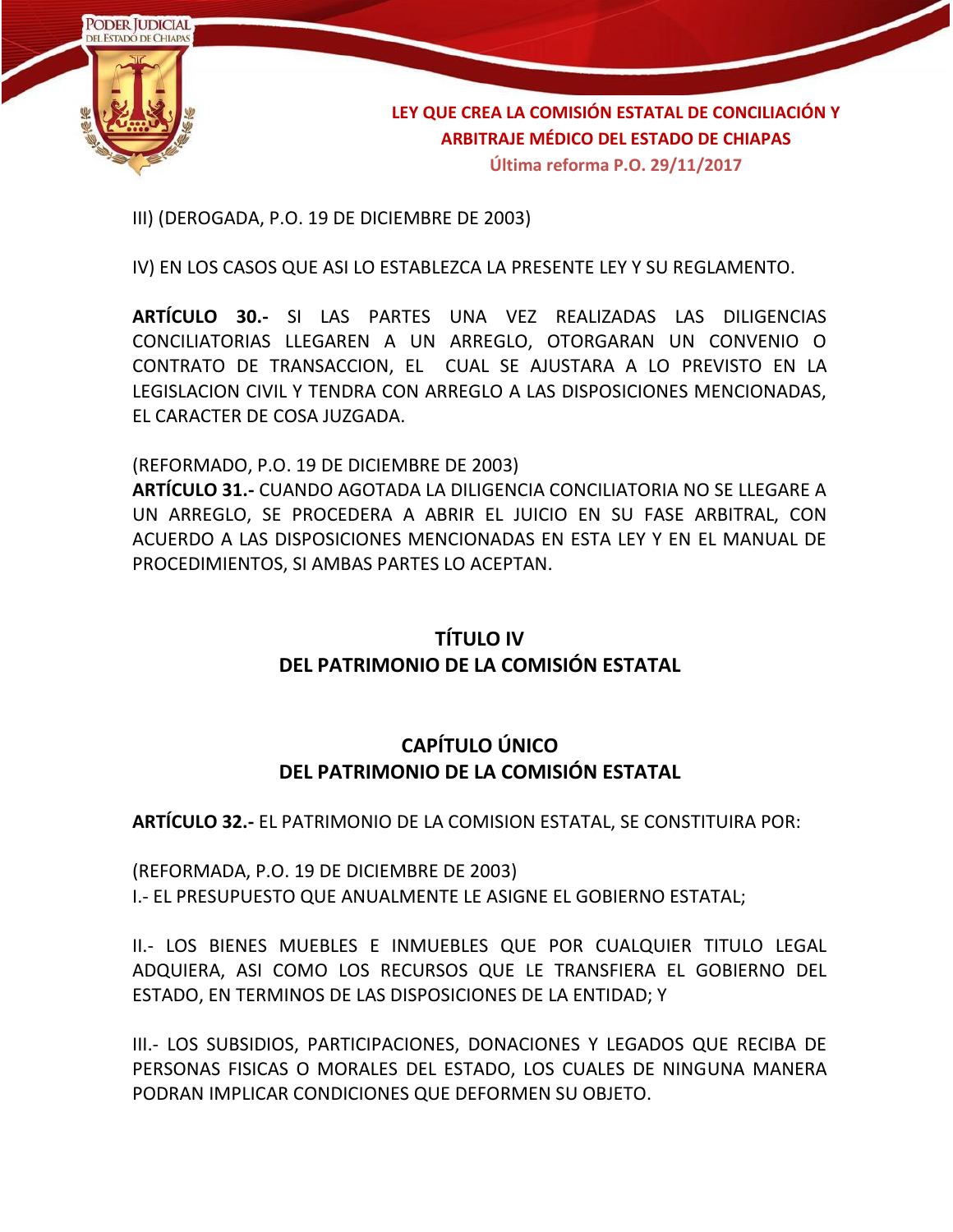

III) (DEROGADA, P.O. 19 DE DICIEMBRE DE 2003)

IV) EN LOS CASOS QUE ASI LO ESTABLEZCA LA PRESENTE LEY Y SU REGLAMENTO.

**ARTÍCULO 30.-** SI LAS PARTES UNA VEZ REALIZADAS LAS DILIGENCIAS CONCILIATORIAS LLEGAREN A UN ARREGLO, OTORGARAN UN CONVENIO O CONTRATO DE TRANSACCION, EL CUAL SE AJUSTARA A LO PREVISTO EN LA LEGISLACION CIVIL Y TENDRA CON ARREGLO A LAS DISPOSICIONES MENCIONADAS, EL CARACTER DE COSA JUZGADA.

(REFORMADO, P.O. 19 DE DICIEMBRE DE 2003)

**ARTÍCULO 31.-** CUANDO AGOTADA LA DILIGENCIA CONCILIATORIA NO SE LLEGARE A UN ARREGLO, SE PROCEDERA A ABRIR EL JUICIO EN SU FASE ARBITRAL, CON ACUERDO A LAS DISPOSICIONES MENCIONADAS EN ESTA LEY Y EN EL MANUAL DE PROCEDIMIENTOS, SI AMBAS PARTES LO ACEPTAN.

### **TÍTULO IV DEL PATRIMONIO DE LA COMISIÓN ESTATAL**

### **CAPÍTULO ÚNICO DEL PATRIMONIO DE LA COMISIÓN ESTATAL**

**ARTÍCULO 32.-** EL PATRIMONIO DE LA COMISION ESTATAL, SE CONSTITUIRA POR:

(REFORMADA, P.O. 19 DE DICIEMBRE DE 2003) I.- EL PRESUPUESTO QUE ANUALMENTE LE ASIGNE EL GOBIERNO ESTATAL;

II.- LOS BIENES MUEBLES E INMUEBLES QUE POR CUALQUIER TITULO LEGAL ADQUIERA, ASI COMO LOS RECURSOS QUE LE TRANSFIERA EL GOBIERNO DEL ESTADO, EN TERMINOS DE LAS DISPOSICIONES DE LA ENTIDAD; Y

III.- LOS SUBSIDIOS, PARTICIPACIONES, DONACIONES Y LEGADOS QUE RECIBA DE PERSONAS FISICAS O MORALES DEL ESTADO, LOS CUALES DE NINGUNA MANERA PODRAN IMPLICAR CONDICIONES QUE DEFORMEN SU OBJETO.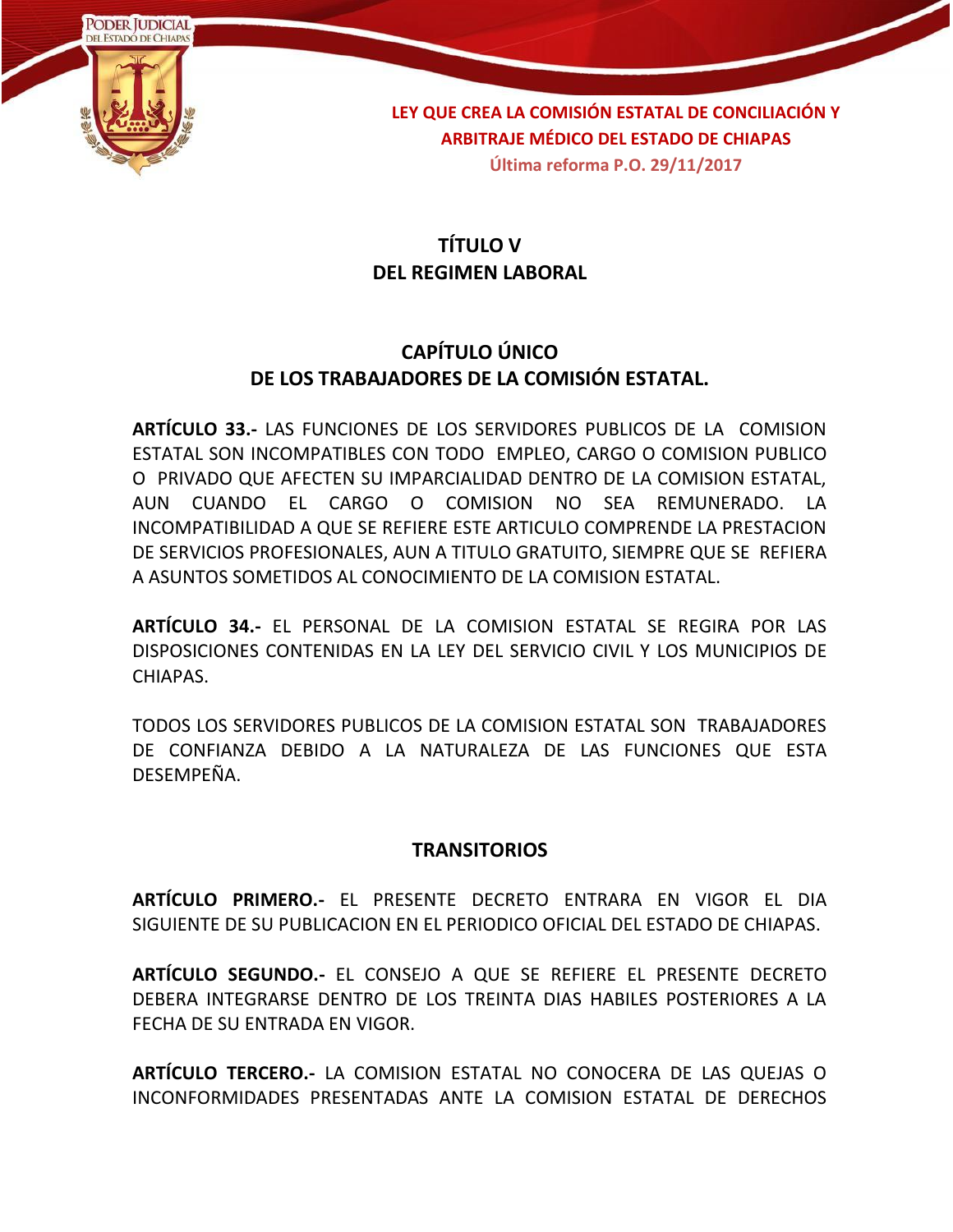

## **TÍTULO V DEL REGIMEN LABORAL**

### **CAPÍTULO ÚNICO DE LOS TRABAJADORES DE LA COMISIÓN ESTATAL.**

**ARTÍCULO 33.-** LAS FUNCIONES DE LOS SERVIDORES PUBLICOS DE LA COMISION ESTATAL SON INCOMPATIBLES CON TODO EMPLEO, CARGO O COMISION PUBLICO O PRIVADO QUE AFECTEN SU IMPARCIALIDAD DENTRO DE LA COMISION ESTATAL, AUN CUANDO EL CARGO O COMISION NO SEA REMUNERADO. LA INCOMPATIBILIDAD A QUE SE REFIERE ESTE ARTICULO COMPRENDE LA PRESTACION DE SERVICIOS PROFESIONALES, AUN A TITULO GRATUITO, SIEMPRE QUE SE REFIERA A ASUNTOS SOMETIDOS AL CONOCIMIENTO DE LA COMISION ESTATAL.

**ARTÍCULO 34.-** EL PERSONAL DE LA COMISION ESTATAL SE REGIRA POR LAS DISPOSICIONES CONTENIDAS EN LA LEY DEL SERVICIO CIVIL Y LOS MUNICIPIOS DE CHIAPAS.

TODOS LOS SERVIDORES PUBLICOS DE LA COMISION ESTATAL SON TRABAJADORES DE CONFIANZA DEBIDO A LA NATURALEZA DE LAS FUNCIONES QUE ESTA DESEMPEÑA.

#### **TRANSITORIOS**

**ARTÍCULO PRIMERO.-** EL PRESENTE DECRETO ENTRARA EN VIGOR EL DIA SIGUIENTE DE SU PUBLICACION EN EL PERIODICO OFICIAL DEL ESTADO DE CHIAPAS.

**ARTÍCULO SEGUNDO.-** EL CONSEJO A QUE SE REFIERE EL PRESENTE DECRETO DEBERA INTEGRARSE DENTRO DE LOS TREINTA DIAS HABILES POSTERIORES A LA FECHA DE SU ENTRADA EN VIGOR.

**ARTÍCULO TERCERO.-** LA COMISION ESTATAL NO CONOCERA DE LAS QUEJAS O INCONFORMIDADES PRESENTADAS ANTE LA COMISION ESTATAL DE DERECHOS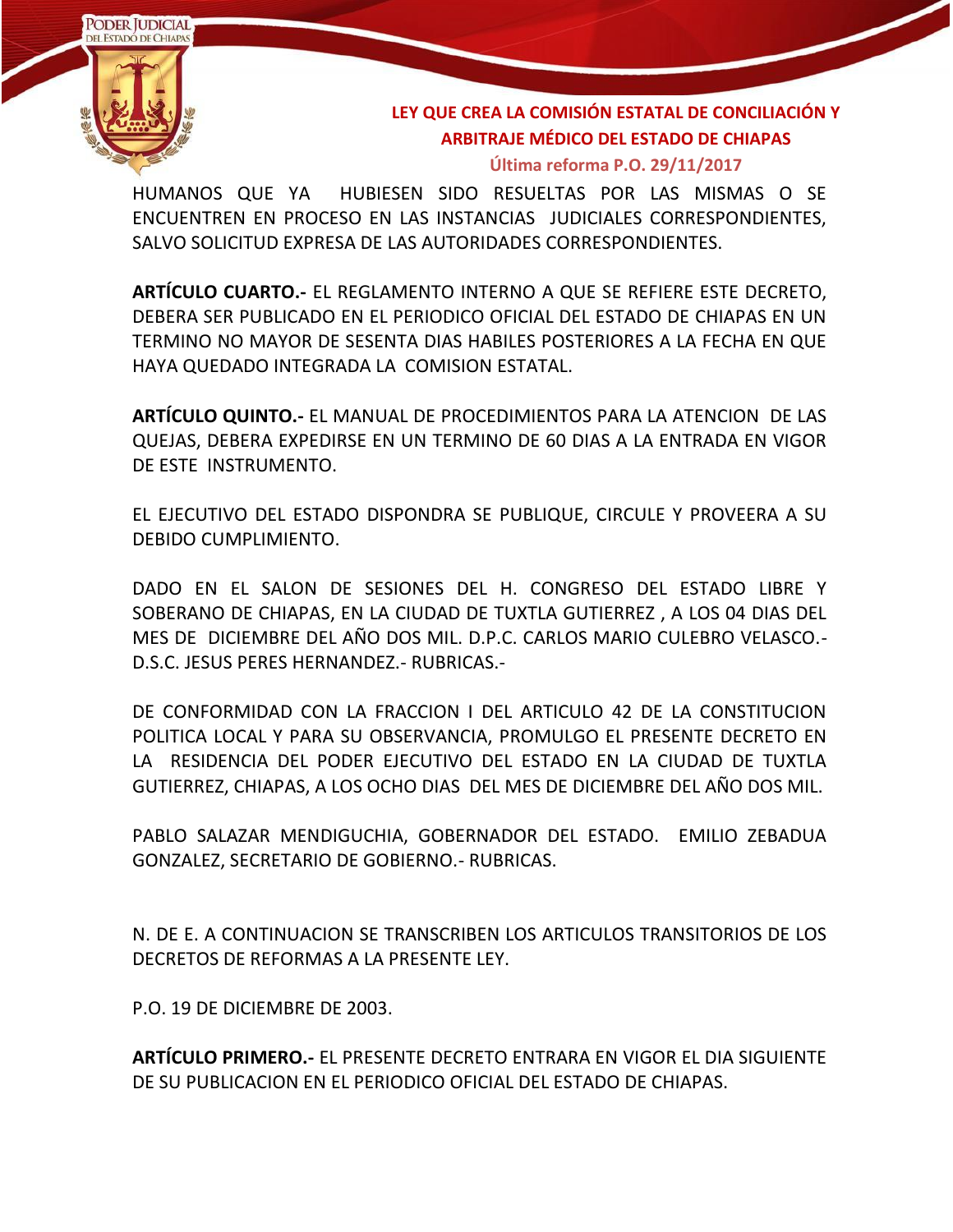

**Última reforma P.O. 29/11/2017**

HUMANOS QUE YA HUBIESEN SIDO RESUELTAS POR LAS MISMAS O SE ENCUENTREN EN PROCESO EN LAS INSTANCIAS JUDICIALES CORRESPONDIENTES, SALVO SOLICITUD EXPRESA DE LAS AUTORIDADES CORRESPONDIENTES.

**ARTÍCULO CUARTO.-** EL REGLAMENTO INTERNO A QUE SE REFIERE ESTE DECRETO, DEBERA SER PUBLICADO EN EL PERIODICO OFICIAL DEL ESTADO DE CHIAPAS EN UN TERMINO NO MAYOR DE SESENTA DIAS HABILES POSTERIORES A LA FECHA EN QUE HAYA QUEDADO INTEGRADA LA COMISION ESTATAL.

**ARTÍCULO QUINTO.-** EL MANUAL DE PROCEDIMIENTOS PARA LA ATENCION DE LAS QUEJAS, DEBERA EXPEDIRSE EN UN TERMINO DE 60 DIAS A LA ENTRADA EN VIGOR DE ESTE INSTRUMENTO.

EL EJECUTIVO DEL ESTADO DISPONDRA SE PUBLIQUE, CIRCULE Y PROVEERA A SU DEBIDO CUMPLIMIENTO.

DADO EN EL SALON DE SESIONES DEL H. CONGRESO DEL ESTADO LIBRE Y SOBERANO DE CHIAPAS, EN LA CIUDAD DE TUXTLA GUTIERREZ , A LOS 04 DIAS DEL MES DE DICIEMBRE DEL AÑO DOS MIL. D.P.C. CARLOS MARIO CULEBRO VELASCO.- D.S.C. JESUS PERES HERNANDEZ.- RUBRICAS.-

DE CONFORMIDAD CON LA FRACCION I DEL ARTICULO 42 DE LA CONSTITUCION POLITICA LOCAL Y PARA SU OBSERVANCIA, PROMULGO EL PRESENTE DECRETO EN LA RESIDENCIA DEL PODER EJECUTIVO DEL ESTADO EN LA CIUDAD DE TUXTLA GUTIERREZ, CHIAPAS, A LOS OCHO DIAS DEL MES DE DICIEMBRE DEL AÑO DOS MIL.

PABLO SALAZAR MENDIGUCHIA, GOBERNADOR DEL ESTADO. EMILIO ZEBADUA GONZALEZ, SECRETARIO DE GOBIERNO.- RUBRICAS.

N. DE E. A CONTINUACION SE TRANSCRIBEN LOS ARTICULOS TRANSITORIOS DE LOS DECRETOS DE REFORMAS A LA PRESENTE LEY.

P.O. 19 DE DICIEMBRE DE 2003.

**ARTÍCULO PRIMERO.-** EL PRESENTE DECRETO ENTRARA EN VIGOR EL DIA SIGUIENTE DE SU PUBLICACION EN EL PERIODICO OFICIAL DEL ESTADO DE CHIAPAS.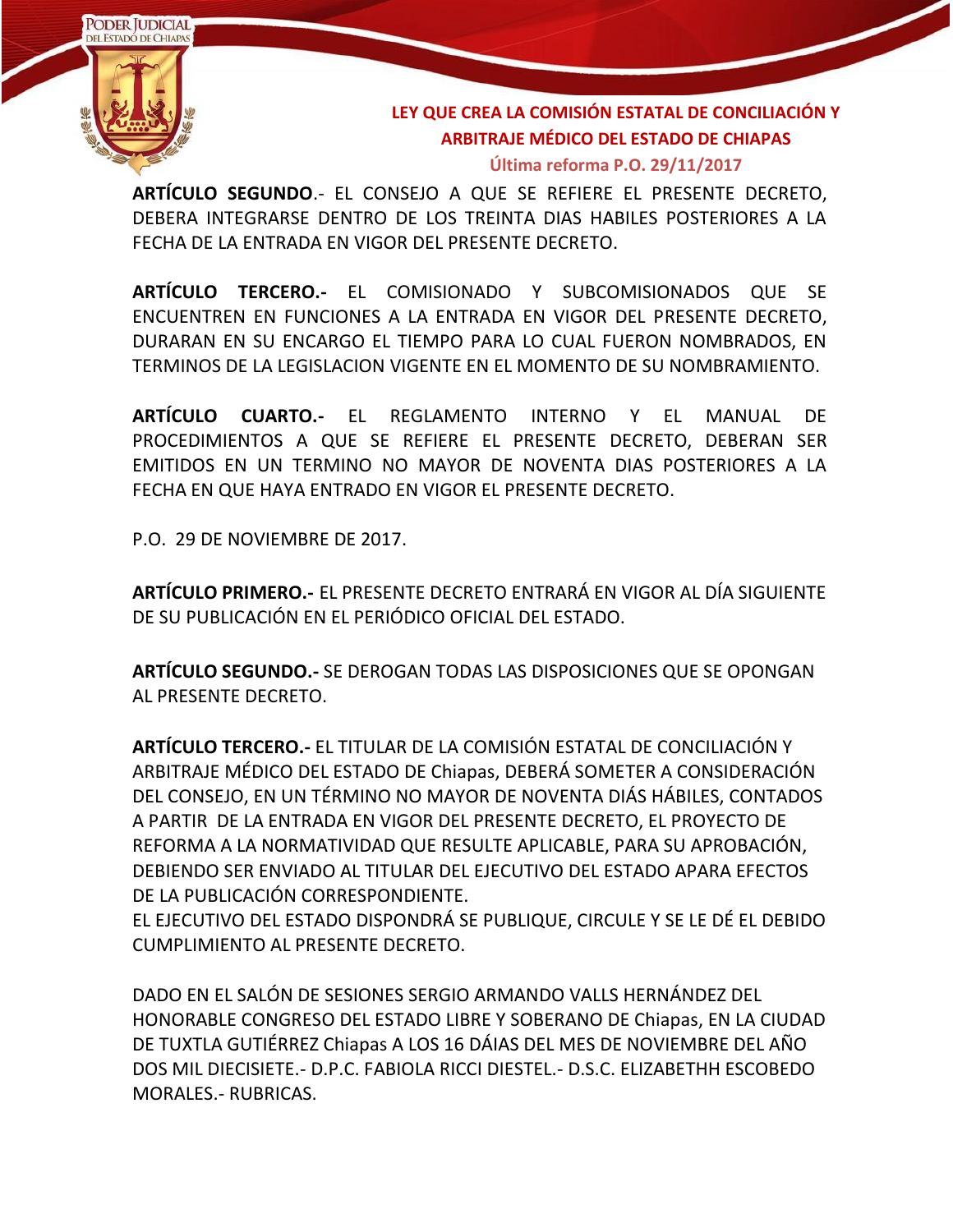

#### **Última reforma P.O. 29/11/2017**

**ARTÍCULO SEGUNDO**.- EL CONSEJO A QUE SE REFIERE EL PRESENTE DECRETO, DEBERA INTEGRARSE DENTRO DE LOS TREINTA DIAS HABILES POSTERIORES A LA FECHA DE LA ENTRADA EN VIGOR DEL PRESENTE DECRETO.

**ARTÍCULO TERCERO.-** EL COMISIONADO Y SUBCOMISIONADOS QUE SE ENCUENTREN EN FUNCIONES A LA ENTRADA EN VIGOR DEL PRESENTE DECRETO, DURARAN EN SU ENCARGO EL TIEMPO PARA LO CUAL FUERON NOMBRADOS, EN TERMINOS DE LA LEGISLACION VIGENTE EN EL MOMENTO DE SU NOMBRAMIENTO.

**ARTÍCULO CUARTO.-** EL REGLAMENTO INTERNO Y EL MANUAL DE PROCEDIMIENTOS A QUE SE REFIERE EL PRESENTE DECRETO, DEBERAN SER EMITIDOS EN UN TERMINO NO MAYOR DE NOVENTA DIAS POSTERIORES A LA FECHA EN QUE HAYA ENTRADO EN VIGOR EL PRESENTE DECRETO.

P.O. 29 DE NOVIEMBRE DE 2017.

**ARTÍCULO PRIMERO.-** EL PRESENTE DECRETO ENTRARÁ EN VIGOR AL DÍA SIGUIENTE DE SU PUBLICACIÓN EN EL PERIÓDICO OFICIAL DEL ESTADO.

**ARTÍCULO SEGUNDO.-** SE DEROGAN TODAS LAS DISPOSICIONES QUE SE OPONGAN AL PRESENTE DECRETO.

**ARTÍCULO TERCERO.-** EL TITULAR DE LA COMISIÓN ESTATAL DE CONCILIACIÓN Y ARBITRAJE MÉDICO DEL ESTADO DE Chiapas, DEBERÁ SOMETER A CONSIDERACIÓN DEL CONSEJO, EN UN TÉRMINO NO MAYOR DE NOVENTA DIÁS HÁBILES, CONTADOS A PARTIR DE LA ENTRADA EN VIGOR DEL PRESENTE DECRETO, EL PROYECTO DE REFORMA A LA NORMATIVIDAD QUE RESULTE APLICABLE, PARA SU APROBACIÓN, DEBIENDO SER ENVIADO AL TITULAR DEL EJECUTIVO DEL ESTADO APARA EFECTOS DE LA PUBLICACIÓN CORRESPONDIENTE.

EL EJECUTIVO DEL ESTADO DISPONDRÁ SE PUBLIQUE, CIRCULE Y SE LE DÉ EL DEBIDO CUMPLIMIENTO AL PRESENTE DECRETO.

DADO EN EL SALÓN DE SESIONES SERGIO ARMANDO VALLS HERNÁNDEZ DEL HONORABLE CONGRESO DEL ESTADO LIBRE Y SOBERANO DE Chiapas, EN LA CIUDAD DE TUXTLA GUTIÉRREZ Chiapas A LOS 16 DÁIAS DEL MES DE NOVIEMBRE DEL AÑO DOS MIL DIECISIETE.- D.P.C. FABIOLA RICCI DIESTEL.- D.S.C. ELIZABETHH ESCOBEDO MORALES.- RUBRICAS.